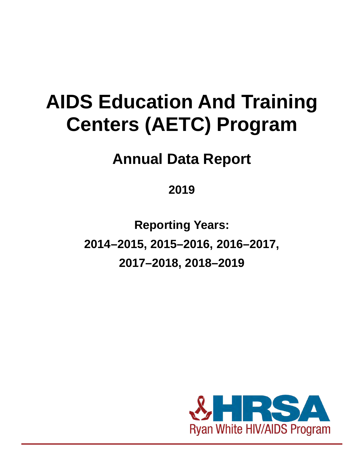# **AIDS Education And Training Centers (AETC) Program**

# **Annual Data Report**

## **2019**

**Reporting Years: 2014–2015, 2015–2016, 2016–2017, 2017–2018, 2018–2019**

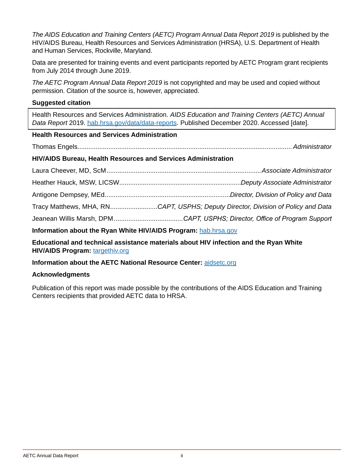*The AIDS Education and Training Centers (AETC) Program Annual Data Report 2019* is published by the HIV/AIDS Bureau, Health Resources and Services Administration (HRSA), U.S. Department of Health and Human Services, Rockville, Maryland.

Data are presented for training events and event participants reported by AETC Program grant recipients from July 2014 through June 2019.

*The AETC Program Annual Data Report 2019* is not copyrighted and may be used and copied without permission. Citation of the source is, however, appreciated.

#### **Suggested citation**

Health Resources and Services Administration. *AIDS Education and Training Centers (AETC) Annual Data Report* 2019. [hab.hrsa.gov/data/data-reports](http://hab.hrsa.gov/data/data-reports). Published December 2020. Accessed [date].

#### **Health Resources and Services Administration**

Thomas Engels...................................................................................................................... *Administrator*

#### **HIV/AIDS Bureau, Health Resources and Services Administration**

| Information about the Ryan White HIV/AIDS Program: hab.hrsa.gov |                                                                                  |  |  |  |  |  |  |  |  |
|-----------------------------------------------------------------|----------------------------------------------------------------------------------|--|--|--|--|--|--|--|--|
|                                                                 |                                                                                  |  |  |  |  |  |  |  |  |
|                                                                 | Tracy Matthews, MHA, RNCAPT, USPHS; Deputy Director, Division of Policy and Data |  |  |  |  |  |  |  |  |
|                                                                 |                                                                                  |  |  |  |  |  |  |  |  |
|                                                                 |                                                                                  |  |  |  |  |  |  |  |  |
|                                                                 |                                                                                  |  |  |  |  |  |  |  |  |

**Educational and technical assistance materials about HIV infection and the Ryan White** 

**HIV/AIDS Program:** [targethiv.org](https://targethiv.org)

#### **Information about the AETC National Resource Center:** [aidsetc.org](https://aidsetc.org)

#### **Acknowledgments**

Publication of this report was made possible by the contributions of the AIDS Education and Training Centers recipients that provided AETC data to HRSA.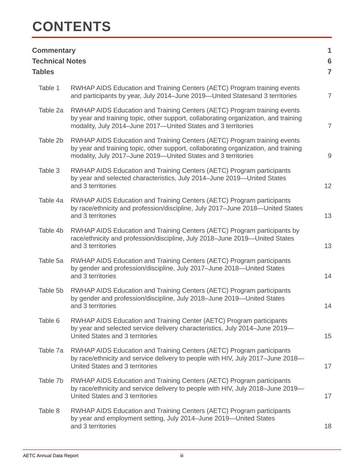# **CONTENTS**

| <b>Commentary</b><br><b>Technical Notes</b><br><b>Tables</b> |                                                                                                                                                                                                                                  | 1<br>$6\phantom{1}6$<br>$\overline{7}$ |
|--------------------------------------------------------------|----------------------------------------------------------------------------------------------------------------------------------------------------------------------------------------------------------------------------------|----------------------------------------|
| Table 1                                                      | RWHAP AIDS Education and Training Centers (AETC) Program training events<br>and participants by year, July 2014–June 2019–United Statesand 3 territories                                                                         | $\overline{7}$                         |
| Table 2a                                                     | RWHAP AIDS Education and Training Centers (AETC) Program training events<br>by year and training topic, other support, collaborating organization, and training<br>modality, July 2014-June 2017-United States and 3 territories | $\overline{7}$                         |
| Table 2b                                                     | RWHAP AIDS Education and Training Centers (AETC) Program training events<br>by year and training topic, other support, collaborating organization, and training<br>modality, July 2017-June 2019-United States and 3 territories | $\overline{9}$                         |
| Table 3                                                      | RWHAP AIDS Education and Training Centers (AETC) Program participants<br>by year and selected characteristics, July 2014-June 2019-United States<br>and 3 territories                                                            | 12                                     |
| Table 4a                                                     | RWHAP AIDS Education and Training Centers (AETC) Program participants<br>by race/ethnicity and profession/discipline, July 2017-June 2018-United States<br>and 3 territories                                                     | 13                                     |
| Table 4b                                                     | RWHAP AIDS Education and Training Centers (AETC) Program participants by<br>race/ethnicity and profession/discipline, July 2018-June 2019-United States<br>and 3 territories                                                     | 13                                     |
| Table 5a                                                     | RWHAP AIDS Education and Training Centers (AETC) Program participants<br>by gender and profession/discipline, July 2017-June 2018-United States<br>and 3 territories                                                             | 14                                     |
| Table 5b                                                     | RWHAP AIDS Education and Training Centers (AETC) Program participants<br>by gender and profession/discipline, July 2018-June 2019-United States<br>and 3 territories                                                             | 14                                     |
| Table 6                                                      | RWHAP AIDS Education and Training Center (AETC) Program participants<br>by year and selected service delivery characteristics, July 2014-June 2019-<br>United States and 3 territories                                           | 15                                     |
| Table 7a                                                     | RWHAP AIDS Education and Training Centers (AETC) Program participants<br>by race/ethnicity and service delivery to people with HIV, July 2017-June 2018-<br>United States and 3 territories                                      | 17                                     |
| Table 7b                                                     | RWHAP AIDS Education and Training Centers (AETC) Program participants<br>by race/ethnicity and service delivery to people with HIV, July 2018-June 2019-<br>United States and 3 territories                                      | 17                                     |
| Table 8                                                      | RWHAP AIDS Education and Training Centers (AETC) Program participants<br>by year and employment setting, July 2014-June 2019-United States<br>and 3 territories                                                                  | 18                                     |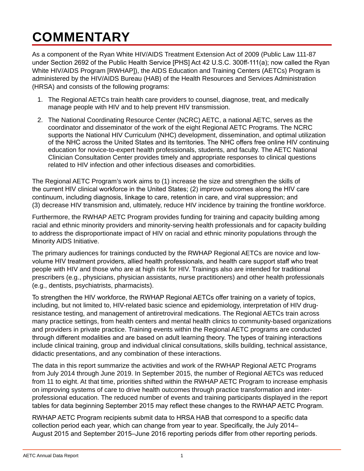# <span id="page-3-0"></span>**COMMENTARY**

As a component of the Ryan White HIV/AIDS Treatment Extension Act of 2009 (Public Law 111-87 under Section 2692 of the Public Health Service [PHS] Act 42 U.S.C. 300ff-111(a); now called the Ryan White HIV/AIDS Program [RWHAP]), the AIDS Education and Training Centers (AETCs) Program is administered by the HIV/AIDS Bureau (HAB) of the Health Resources and Services Administration (HRSA) and consists of the following programs:

- 1. The Regional AETCs train health care providers to counsel, diagnose, treat, and medically manage people with HIV and to help prevent HIV transmission.
- 2. The National Coordinating Resource Center (NCRC) AETC, a national AETC, serves as the coordinator and disseminator of the work of the eight Regional AETC Programs. The NCRC supports the National HIV Curriculum (NHC) development, dissemination, and optimal utilization of the NHC across the United States and its territories. The NHC offers free online HIV continuing education for novice-to-expert health professionals, students, and faculty. The AETC National Clinician Consultation Center provides timely and appropriate responses to clinical questions related to HIV infection and other infectious diseases and comorbidities.

The Regional AETC Program's work aims to (1) increase the size and strengthen the skills of the current HIV clinical workforce in the United States; (2) improve outcomes along the HIV care continuum, including diagnosis, linkage to care, retention in care, and viral suppression; and (3) decrease HIV transmision and, ultimately, reduce HIV incidence by training the frontline workforce.

Furthermore, the RWHAP AETC Program provides funding for training and capacity building among racial and ethnic minority providers and minority-serving health professionals and for capacity building to address the disproportionate impact of HIV on racial and ethnic minority populations through the Minority AIDS Initiative.

The primary audiences for trainings conducted by the RWHAP Regional AETCs are novice and lowvolume HIV treatment providers, allied health professionals, and health care support staff who treat people with HIV and those who are at high risk for HIV. Trainings also are intended for traditional prescribers (e.g., physicians, physician assistants, nurse practitioners) and other health professionals (e.g., dentists, psychiatrists, pharmacists).

To strengthen the HIV workforce, the RWHAP Regional AETCs offer training on a variety of topics, including, but not limited to, HIV-related basic science and epidemiology, interpretation of HIV drugresistance testing, and management of antiretroviral medications. The Regional AETCs train across many practice settings, from health centers and mental health clinics to community-based organizations and providers in private practice. Training events within the Regional AETC programs are conducted through different modalities and are based on adult learning theory. The types of training interactions include clinical training, group and individual clinical consultations, skills building, technical assistance, didactic presentations, and any combination of these interactions.

The data in this report summarize the activities and work of the RWHAP Regional AETC Programs from July 2014 through June 2019. In September 2015, the number of Regional AETCs was reduced from 11 to eight. At that time, priorities shifted within the RWHAP AETC Program to increase emphasis on improving systems of care to drive health outcomes through practice transformation and interprofessional education. The reduced number of events and training participants displayed in the report tables for data beginning September 2015 may reflect these changes to the RWHAP AETC Program.

RWHAP AETC Program recipients submit data to HRSA HAB that correspond to a specific data collection period each year, which can change from year to year. Specifically, the July 2014– August 2015 and September 2015–June 2016 reporting periods differ from other reporting periods.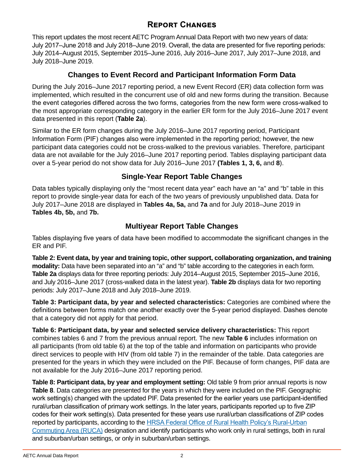## **Report Changes**

This report updates the most recent AETC Program Annual Data Report with two new years of data: July 2017–June 2018 and July 2018–June 2019. Overall, the data are presented for five reporting periods: July 2014–August 2015, September 2015–June 2016, July 2016–June 2017, July 2017–June 2018, and July 2018–June 2019.

### **Changes to Event Record and Participant Information Form Data**

During the July 2016–June 2017 reporting period, a new Event Record (ER) data collection form was implemented, which resulted in the concurrent use of old and new forms during the transition. Because the event categories differed across the two forms, categories from the new form were cross-walked to the most appropriate corresponding category in the earlier ER form for the July 2016–June 2017 event data presented in this report (**Table 2a**).

Similar to the ER form changes during the July 2016–June 2017 reporting period, Participant Information Form (PIF) changes also were implemented in the reporting period; however, the new participant data categories could not be cross-walked to the previous variables. Therefore, participant data are not available for the July 2016–June 2017 reporting period. Tables displaying participant data over a 5-year period do not show data for July 2016–June 2017 **(Tables 1, 3, 6,** and **8**).

## **Single-Year Report Table Changes**

Data tables typically displaying only the "most recent data year" each have an "a" and "b" table in this report to provide single-year data for each of the two years of previously unpublished data. Data for July 2017–June 2018 are displayed in **Tables 4a, 5a,** and **7a** and for July 2018–June 2019 in **Tables 4b, 5b,** and **7b.**

## **Multiyear Report Table Changes**

Tables displaying five years of data have been modified to accommodate the significant changes in the ER and PIF.

**Table 2: Event data, by year and training topic, other support, collaborating organization, and training modality:** Data have been separated into an "a" and "b" table according to the categories in each form. **Table 2a** displays data for three reporting periods: July 2014–August 2015, September 2015–June 2016, and July 2016–June 2017 (cross-walked data in the latest year). **Table 2b** displays data for two reporting periods: July 2017–June 2018 and July 2018–June 2019.

**Table 3: Participant data, by year and selected characteristics:** Categories are combined where the definitions between forms match one another exactly over the 5-year period displayed. Dashes denote that a category did not apply for that period.

**Table 6: Participant data, by year and selected service delivery characteristics:** This report combines tables 6 and 7 from the previous annual report. The new **Table 6** includes information on all participants (from old table 6) at the top of the table and information on participants who provide direct services to people with HIV (from old table 7) in the remainder of the table. Data categories are presented for the years in which they were included on the PIF. Because of form changes, PIF data are not available for the July 2016–June 2017 reporting period.

**Table 8: Participant data, by year and employment setting:** Old table 9 from prior annual reports is now **Table 8**. Data categories are presented for the years in which they were included on the PIF. Geographic work setting(s) changed with the updated PIF. Data presented for the earlier years use participant-identified rural/urban classification of primary work settings. In the later years, participants reported up to five ZIP codes for their work setting(s). Data presented for these years use rural/urban classifications of ZIP codes reported by participants, according to the [HRSA Federal Office of Rural Health Policy's Rural-Urban](https://www.hrsa.gov/rural-health/about-us/definition/index.html) [Commuting Area \(RUCA\)](https://www.hrsa.gov/rural-health/about-us/definition/index.html) designation and identify participants who work only in rural settings, both in rural and suburban/urban settings, or only in suburban/urban settings.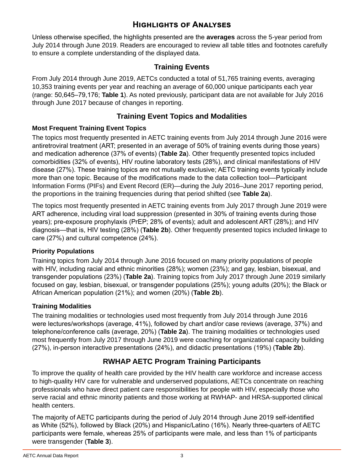## **Highlights of Analyses**

<span id="page-5-0"></span>Unless otherwise specified, the highlights presented are the **averages** across the 5-year period from July 2014 through June 2019. Readers are encouraged to review all table titles and footnotes carefully to ensure a complete understanding of the displayed data.

### **Training Events**

From July 2014 through June 2019, AETCs conducted a total of 51,765 training events, averaging 10,353 training events per year and reaching an average of 60,000 unique participants each year (range: 50,645–79,176; **Table 1**). As noted previously, participant data are not available for July 2016 through June 2017 because of changes in reporting.

#### **Training Event Topics and Modalities**

#### **Most Frequent Training Event Topics**

The topics most frequently presented in AETC training events from July 2014 through June 2016 were antiretroviral treatment (ART; presented in an average of 50% of training events during those years) and medication adherence (37% of events) (**Table 2a**). Other frequently presented topics included comorbidities (32% of events), HIV routine laboratory tests (28%), and clinical manifestations of HIV disease (27%). These training topics are not mutually exclusive; AETC training events typically include more than one topic. Because of the modifications made to the data collection tool—Participant Information Forms (PIFs) and Event Record (ER)—during the July 2016–June 2017 reporting period, the proportions in the training frequencies during that period shifted (see **Table 2a**).

The topics most frequently presented in AETC training events from July 2017 through June 2019 were ART adherence, including viral load suppression (presented in 30% of training events during those years); pre-exposure prophylaxis (PrEP; 28% of events); adult and adolescent ART (28%); and HIV diagnosis—that is, HIV testing (28%) (**Table 2b**). Other frequently presented topics included linkage to care (27%) and cultural competence (24%).

#### **Priority Populations**

Training topics from July 2014 through June 2016 focused on many priority populations of people with HIV, including racial and ethnic minorities (28%); women (23%); and gay, lesbian, bisexual, and transgender populations (23%) (**Table 2a**). Training topics from July 2017 through June 2019 similarly focused on gay, lesbian, bisexual, or transgender populations (25%); young adults (20%); the Black or African American population (21%); and women (20%) (**Table 2b**).

#### **Training Modalities**

The training modalities or technologies used most frequently from July 2014 through June 2016 were lectures/workshops (average, 41%), followed by chart and/or case reviews (average, 37%) and telephone/conference calls (average, 20%) (**Table 2a**). The training modalities or technologies used most frequently from July 2017 through June 2019 were coaching for organizational capacity building (27%), in-person interactive presentations (24%), and didactic presentations (19%) (**Table 2b**).

## **RWHAP AETC Program Training Participants**

To improve the quality of health care provided by the HIV health care workforce and increase access to high-quality HIV care for vulnerable and underserved populations, AETCs concentrate on reaching professionals who have direct patient care responsibilities for people with HIV, especially those who serve racial and ethnic minority patients and those working at RWHAP- and HRSA-supported clinical health centers.

The majority of AETC participants during the period of July 2014 through June 2019 self-identified as White (52%), followed by Black (20%) and Hispanic/Latino (16%). Nearly three-quarters of AETC participants were female, whereas 25% of participants were male, and less than 1% of participants were transgender (**Table 3**).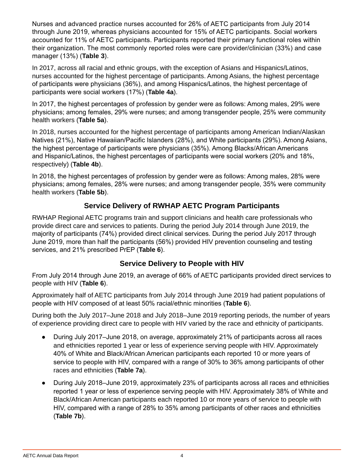Nurses and advanced practice nurses accounted for 26% of AETC participants from July 2014 through June 2019, whereas physicians accounted for 15% of AETC participants. Social workers accounted for 11% of AETC participants. Participants reported their primary functional roles within their organization. The most commonly reported roles were care provider/clinician (33%) and case manager (13%) (**Table 3**).

In 2017, across all racial and ethnic groups, with the exception of Asians and Hispanics/Latinos, nurses accounted for the highest percentage of participants. Among Asians, the highest percentage of participants were physicians (36%), and among Hispanics/Latinos, the highest percentage of participants were social workers (17%) (**Table 4a**).

In 2017, the highest percentages of profession by gender were as follows: Among males, 29% were physicians; among females, 29% were nurses; and among transgender people, 25% were community health workers (**Table 5a**).

In 2018, nurses accounted for the highest percentage of participants among American Indian/Alaskan Natives (21%), Native Hawaiian/Pacific Islanders (28%), and White participants (29%). Among Asians, the highest percentage of participants were physicians (35%). Among Blacks/African Americans and Hispanic/Latinos, the highest percentages of participants were social workers (20% and 18%, respectively) (**Table 4b**).

In 2018, the highest percentages of profession by gender were as follows: Among males, 28% were physicians; among females, 28% were nurses; and among transgender people, 35% were community health workers (**Table 5b**).

## **Service Delivery of RWHAP AETC Program Participants**

RWHAP Regional AETC programs train and support clinicians and health care professionals who provide direct care and services to patients. During the period July 2014 through June 2019, the majority of participants (74%) provided direct clinical services. During the period July 2017 through June 2019, more than half the participants (56%) provided HIV prevention counseling and testing services, and 21% prescribed PrEP (**Table 6**).

## **Service Delivery to People with HIV**

From July 2014 through June 2019, an average of 66% of AETC participants provided direct services to people with HIV (**Table 6**).

Approximately half of AETC participants from July 2014 through June 2019 had patient populations of people with HIV composed of at least 50% racial/ethnic minorities (**Table 6**).

During both the July 2017–June 2018 and July 2018–June 2019 reporting periods, the number of years of experience providing direct care to people with HIV varied by the race and ethnicity of participants.

- During July 2017–June 2018, on average, approximately 21% of participants across all races and ethnicities reported 1 year or less of experience serving people with HIV. Approximately 40% of White and Black/African American participants each reported 10 or more years of service to people with HIV, compared with a range of 30% to 36% among participants of other races and ethnicities (**Table 7a**).
- During July 2018–June 2019, approximately 23% of participants across all races and ethnicities reported 1 year or less of experience serving people with HIV. Approximately 38% of White and Black/African American participants each reported 10 or more years of service to people with HIV, compared with a range of 28% to 35% among participants of other races and ethnicities (**Table 7b**).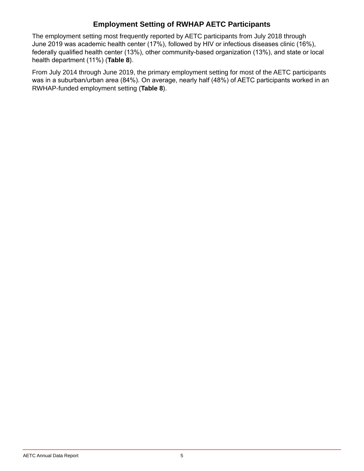## **Employment Setting of RWHAP AETC Participants**

The employment setting most frequently reported by AETC participants from July 2018 through June 2019 was academic health center (17%), followed by HIV or infectious diseases clinic (16%), federally qualified health center (13%), other community-based organization (13%), and state or local health department (11%) (**Table 8**).

From July 2014 through June 2019, the primary employment setting for most of the AETC participants was in a suburban/urban area (84%). On average, nearly half (48%) of AETC participants worked in an RWHAP-funded employment setting (**Table 8**).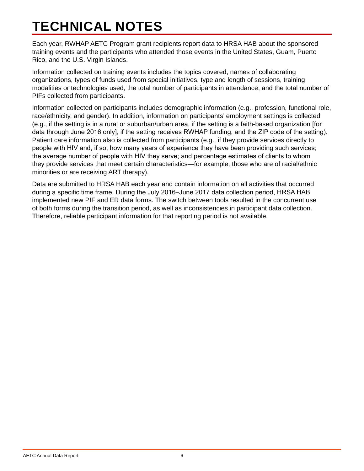# <span id="page-8-0"></span>**TECHNICAL NOTES**

Each year, RWHAP AETC Program grant recipients report data to HRSA HAB about the sponsored training events and the participants who attended those events in the United States, Guam, Puerto Rico, and the U.S. Virgin Islands.

Information collected on training events includes the topics covered, names of collaborating organizations, types of funds used from special initiatives, type and length of sessions, training modalities or technologies used, the total number of participants in attendance, and the total number of PIFs collected from participants.

Information collected on participants includes demographic information (e.g., profession, functional role, race/ethnicity, and gender). In addition, information on participants' employment settings is collected (e.g., if the setting is in a rural or suburban/urban area, if the setting is a faith-based organization [for data through June 2016 only], if the setting receives RWHAP funding, and the ZIP code of the setting). Patient care information also is collected from participants (e.g., if they provide services directly to people with HIV and, if so, how many years of experience they have been providing such services; the average number of people with HIV they serve; and percentage estimates of clients to whom they provide services that meet certain characteristics—for example, those who are of racial/ethnic minorities or are receiving ART therapy).

Data are submitted to HRSA HAB each year and contain information on all activities that occurred during a specific time frame. During the July 2016–June 2017 data collection period, HRSA HAB implemented new PIF and ER data forms. The switch between tools resulted in the concurrent use of both forms during the transition period, as well as inconsistencies in participant data collection. Therefore, reliable participant information for that reporting period is not available.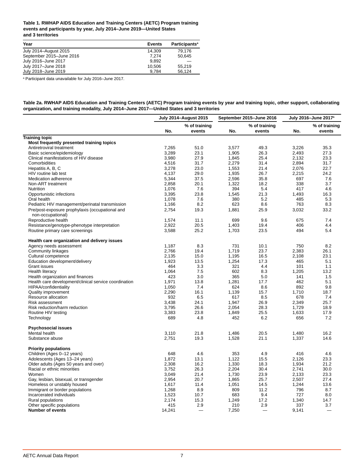#### <span id="page-9-0"></span>**Table 1. RWHAP AIDS Education and Training Centers (AETC) Program training events and participants by year, July 2014–June 2019—United States and 3 territories**

| Year                     | <b>Events</b> | <b>Participants<sup>a</sup></b> |
|--------------------------|---------------|---------------------------------|
| July 2014-August 2015    | 14.309        | 79.176                          |
| September 2015-June 2016 | 7.274         | 50.645                          |
| July 2016-June 2017      | 9.892         |                                 |
| July 2017-June 2018      | 10.506        | 55.219                          |
| July 2018-June 2019      | 9.784         | 56.124                          |

a Participant data unavailable for July 2016–June 2017.

**Table 2a. RWHAP AIDS Education and Training Centers (AETC) Program training events by year and training topic, other support, collaborating organization, and training modality, July 2014–June 2017—United States and 3 territories**

|                                                                      |        | July 2014–August 2015   |       | September 2015-June 2016 |       | July 2016–June 2017ª    |
|----------------------------------------------------------------------|--------|-------------------------|-------|--------------------------|-------|-------------------------|
|                                                                      | No.    | % of training<br>events | No.   | % of training<br>events  | No.   | % of training<br>events |
| <b>Training topic</b>                                                |        |                         |       |                          |       |                         |
| Most frequently presented training topics                            |        |                         |       |                          |       |                         |
| Antiretroviral treatment                                             | 7,265  | 51.0                    | 3,577 | 49.3                     | 3,226 | 35.3                    |
| Basic science/epidemiology                                           | 3,289  | 23.1                    | 1,905 | 26.3                     | 2,493 | 27.3                    |
| Clinical manifestations of HIV disease                               | 3,980  | 27.9                    | 1,845 | 25.4                     | 2.132 | 23.3                    |
| Comorbidities                                                        | 4,516  | 31.7                    | 2,279 | 31.4                     | 2,894 | 31.7                    |
| Hepatitis A, B, C                                                    | 3,278  | 23.0                    | 1,553 | 21.4                     | 2,076 | 22.7                    |
| HIV routine lab test                                                 | 4,137  | 29.0                    | 1,935 | 26.7                     | 2,215 | 24.2                    |
| Medication adherence                                                 | 5,344  | 37.5                    | 2,596 | 35.8                     | 697   | 7.6                     |
| Non-ART treatment                                                    | 2,858  | 20.1                    | 1,322 | 18.2                     | 338   | 3.7                     |
| <b>Nutrition</b>                                                     | 1,076  | 7.6                     | 394   | 5.4                      | 417   | 4.6                     |
| Opportunistic infections                                             | 3,395  | 23.8                    | 1,545 | 21.3                     | 1,493 | 16.3                    |
| Oral health                                                          | 1.078  | 7.6                     | 380   | 5.2                      | 485   | 5.3                     |
| Pediatric HIV management/perinatal transmission                      | 1,166  | 8.2                     | 623   | 8.6                      | 763   | 8.3                     |
| Pre/post-exposure prophylaxis (occupational and<br>non-occupational) | 2,754  | 19.3                    | 1,881 | 25.9                     | 3,032 | 33.2                    |
| Reproductive health                                                  | 1,574  | 11.1                    | 699   | 9.6                      | 675   | 7.4                     |
| Resistance/genotype-phenotype interpretation                         | 2.922  | 20.5                    | 1,403 | 19.4                     | 406   | 4.4                     |
| Routine primary care screenings                                      | 3,588  | 25.2                    | 1,703 | 23.5                     | 494   | 5.4                     |
| Health care organization and delivery issues                         |        |                         |       |                          |       |                         |
| Agency needs assessment                                              | 1,187  | 8.3                     | 731   | 10.1                     | 750   | 8.2                     |
| Community linkages                                                   | 2,766  | 19.4                    | 1,719 | 23.7                     | 2,383 | 26.1                    |
| Cultural competence                                                  | 2,135  | 15.0                    | 1,195 | 16.5                     | 2,108 | 23.1                    |
| Education development/delivery                                       | 1,923  | 13.5                    | 1,254 | 17.3                     | 465   | 5.1                     |
| <b>Grant issues</b>                                                  | 464    | 3.3                     | 321   | 4.4                      | 101   | 1.1                     |
| Health literacy                                                      | 1,064  | 7.5                     | 602   | 8.3                      | 1,205 | 13.2                    |
| Health organization and finances                                     | 423    | 3.0                     | 365   | 5.0                      | 141   | 1.5                     |
| Health care development/clinical service coordination                | 1,971  | 13.8                    | 1,281 | 17.7                     | 462   | 5.1                     |
| HIPAA/confidentiality                                                | 1,050  | 7.4                     | 624   | 8.6                      | 892   | 9.8                     |
| Quality improvement                                                  | 2,290  | 16.1                    | 1,139 | 15.7                     | 1,710 | 18.7                    |
| Resource allocation                                                  | 932    | 6.5                     | 617   | 8.5                      | 678   | 7.4                     |
| Risk assessment                                                      | 3,438  | 24.1                    | 1,947 | 26.9                     | 2,349 | 25.7                    |
| Risk reduction/harm reduction                                        | 3,795  | 26.6                    | 2,054 | 28.3                     | 1,729 | 18.9                    |
| Routine HIV testing                                                  | 3,383  | 23.8                    | 1,849 | 25.5                     | 1,633 | 17.9                    |
| Technology                                                           | 689    | 4.8                     | 452   | 6.2                      | 656   | 7.2                     |
| <b>Psychosocial issues</b>                                           |        |                         |       |                          |       |                         |
| Mental health                                                        | 3,110  | 21.8                    | 1,486 | 20.5                     | 1,480 | 16.2                    |
| Substance abuse                                                      | 2,751  | 19.3                    | 1,528 | 21.1                     | 1,337 | 14.6                    |
| <b>Priority populations</b>                                          |        |                         |       |                          |       |                         |
| Children (Ages 0-12 years)                                           | 648    | 4.6                     | 353   | 4.9                      | 416   | 4.6                     |
| Adolescents (Ages 13-24 years)                                       | 1,872  | 13.1                    | 1,122 | 15.5                     | 2,126 | 23.3                    |
| Older adults (Ages 50 years and over)                                | 2,308  | 16.2                    | 1,330 | 18.3                     | 1,934 | 21.2                    |
| Racial or ethnic minorities                                          | 3,752  | 26.3                    | 2,204 | 30.4                     | 2,741 | 30.0                    |
| Women                                                                | 3,049  | 21.4                    | 1,730 | 23.9                     | 2,133 | 23.3                    |
| Gay, lesbian, bisexual, or transgender                               | 2,954  | 20.7                    | 1,865 | 25.7                     | 2,507 | 27.4                    |
| Homeless or unstably housed                                          | 1,617  | 11.4                    | 1,051 | 14.5                     | 1,244 | 13.6                    |
| Immigrant or border populations                                      | 1,268  | 8.9                     | 809   | 11.2                     | 796   | 8.7                     |
| Incarcerated individuals                                             | 1,523  | 10.7                    | 683   | 9.4                      | 727   | 8.0                     |
| Rural populations                                                    | 2,174  | 15.3                    | 1,249 | 17.2                     | 1,340 | 14.7                    |
| Other specific populations                                           | 415    | 2.9                     | 210   | 2.9                      | 337   | 3.7                     |
| <b>Number of events</b>                                              | 14,241 |                         | 7,250 |                          | 9,141 |                         |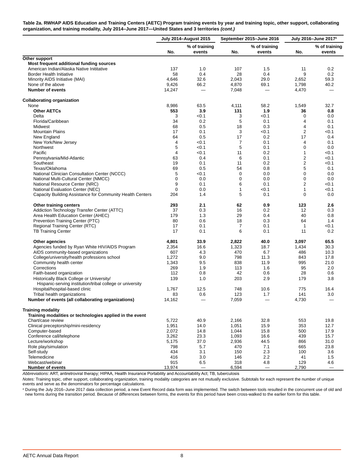**Table 2a. RWHAP AIDS Education and Training Centers (AETC) Program training events by year and training topic, other support, collaborating organization, and training modality, July 2014–June 2017—United States and 3 territories** *(cont.)*

|                                                                                                        |                 | <b>July 2014-August 2015</b> |                | September 2015-June 2016 |                         | July 2016-June 2017 <sup>a</sup> |
|--------------------------------------------------------------------------------------------------------|-----------------|------------------------------|----------------|--------------------------|-------------------------|----------------------------------|
|                                                                                                        |                 | % of training                |                | % of training            |                         | % of training                    |
|                                                                                                        | No.             | events                       | No.            | events                   | No.                     | events                           |
| Other support                                                                                          |                 |                              |                |                          |                         |                                  |
| Most frequent additional funding sources                                                               |                 |                              |                |                          |                         |                                  |
| American Indian/Alaska Native Inititative                                                              | 137             | 1.0                          | 107            | 1.5                      | 11                      | 0.2                              |
| <b>Border Health Initiative</b>                                                                        | 58              | 0.4                          | 28             | 0.4                      | 9                       | 0.2                              |
| Minority AIDS Initiative (MAI)                                                                         | 4,646           | 32.6                         | 2,043          | 29.0                     | 2,652                   | 59.3                             |
| None of the above<br><b>Number of events</b>                                                           | 9,426<br>14,247 | 66.2                         | 4,870<br>7,048 | 69.1                     | 1,798<br>4,470          | 40.2                             |
| <b>Collaborating organization</b>                                                                      |                 |                              |                |                          |                         |                                  |
| None                                                                                                   | 8,986           | 63.5                         | 4,111          | 58.2                     | 1,549                   | 32.7                             |
| <b>Other AETCs</b>                                                                                     | 553             | 3.9                          | 131            | 1.9                      | 36                      | 0.8                              |
| Delta                                                                                                  | 3               | < 0.1                        | 3              | < 0.1                    | 0                       | 0.0                              |
| Florida/Caribbean                                                                                      | 34              | 0.2                          | 5              | 0.1                      | 4                       | 0.1                              |
| Midwest                                                                                                | 68              | 0.5                          | 18             | 0.3                      | 4                       | 0.1                              |
| <b>Mountain Plains</b>                                                                                 | 17              | 0.1                          | 3              | < 0.1                    | $\overline{2}$          | <0.1                             |
| New England                                                                                            | 64              | 0.5                          | 17             | 0.2                      | 17                      | 0.4                              |
| New York/New Jersey                                                                                    | $\overline{4}$  | < 0.1                        | 7              | 0.1                      | 4                       | 0.1                              |
| Northwest                                                                                              | 5               | < 0.1                        | 5              | 0.1                      | 0                       | 0.0                              |
| Pacific                                                                                                | $\overline{4}$  | < 0.1                        | 11             | 0.2                      | 1                       | < 0.1                            |
| Pennsylvania/Mid-Atlantic                                                                              | 63              | 0.4                          | 6              | 0.1                      | $\overline{\mathbf{c}}$ | < 0.1                            |
| Southeast                                                                                              | 19              | 0.1                          | 11             | 0.2                      | $\overline{\mathbf{c}}$ | < 0.1                            |
| Texas/Oklahoma                                                                                         | 69              | 0.5                          | 54             | 0.8                      | 5                       | 0.1                              |
| National Clinician Consultation Center (NCCC)                                                          | 5               | < 0.1                        | 0              | 0.0                      | 0                       | 0.0                              |
| National Multi-Cultural Center (NMCC)                                                                  | 0               | 0.0                          | 0              | 0.0                      | 0                       | 0.0                              |
| National Resource Center (NRC)                                                                         | 9               | 0.1                          | 6              | 0.1                      | $\overline{2}$          | < 0.1                            |
| National Evaluation Center (NEC)                                                                       | $\Omega$        | 0.0                          | 1              | < 0.1                    | 1                       | < 0.1                            |
| Capacity Building Assistance for Community Health Centers                                              | 204             | 1.4                          | 5              | 0.1                      | 0                       | 0.0                              |
| <b>Other training centers</b>                                                                          | 293             | 2.1                          | 62             | 0.9                      | 123                     | 2.6                              |
| Addiction Technology Transfer Center (ATTC)                                                            | 37              | 0.3                          | 16             | 0.2                      | 12                      | 0.3                              |
| Area Health Education Center (AHEC)                                                                    | 179             | 1.3                          | 29             | 0.4                      | 40                      | 0.8                              |
| Prevention Training Center (PTC)                                                                       | 80              | 0.6                          | 18             | 0.3                      | 64                      | 1.4                              |
| Regional Training Center (RTC)                                                                         | 17              | 0.1                          | 7              | 0.1                      | 1                       | < 0.1                            |
| <b>TB Training Center</b>                                                                              | 17              | 0.1                          | 6              | 0.1                      | 11                      | 0.2                              |
| Other agencies                                                                                         | 4,801           | 33.9                         | 2,822          | 40.0                     | 3,097                   | 65.5                             |
| Agencies funded by Ryan White HIV/AIDS Program                                                         | 2,354           | 16.6                         | 1,323          | 18.7                     | 1,434                   | 30.3                             |
| AIDS community-based organizations                                                                     | 607             | 4.3                          | 470            | 6.7                      | 486                     | 10.3                             |
| College/university/health professions school                                                           | 1,272           | 9.0                          | 798            | 11.3                     | 843                     | 17.8                             |
| Community health center                                                                                | 1,343           | 9.5                          | 838            | 11.9                     | 995                     | 21.0                             |
| Corrections                                                                                            | 269             | 1.9                          | 113            | 1.6                      | 95                      | 2.0                              |
| Faith-based organization                                                                               | 112             | 0.8                          | 42             | 0.6                      | 28                      | 0.6                              |
| Historically Black College or University/<br>Hispanic-serving institution/tribal college or university | 139             | 1.0                          | 203            | 2.9                      | 179                     | 3.8                              |
| Hospital/hospital-based clinic                                                                         | 1,767           | 12.5                         | 748            | 10.6                     | 775                     | 16.4                             |
| Tribal health organizations                                                                            | 83              | 0.6                          | 123            | 1.7                      | 141                     | 3.0                              |
| Number of events (all collaborating organizations)                                                     | 14,162          |                              | 7,059          |                          | 4,730                   |                                  |
| <b>Training modality</b>                                                                               |                 |                              |                |                          |                         |                                  |
| Training modalities or technologies applied in the event                                               |                 |                              |                |                          |                         |                                  |
| Chart/case review                                                                                      | 5,722           | 40.9                         | 2,166          | 32.8                     | 553                     | 19.8                             |
| Clinical preceptorship/mini-residency                                                                  | 1,951           | 14.0                         | 1,051          | 15.9                     | 353                     | 12.7                             |
| Computer-based                                                                                         | 2,072           | 14.8                         | 1,044          | 15.8                     | 500                     | 17.9                             |
| Conference call/telephone                                                                              | 3,262           | 23.3                         | 1,093          | 16.6                     | 439                     | 15.7                             |
| Lecture/workshop                                                                                       | 5,175           | 37.0                         | 2,936          | 44.5                     | 866                     | 31.0                             |
| Role play/simulation                                                                                   | 798             | 5.7                          | 470            | 7.1                      | 665                     | 23.8                             |
| Self-study                                                                                             | 434             | 3.1                          | 150            | 2.3                      | 100                     | 3.6                              |
| Telemedicine                                                                                           | 416             | 3.0                          | 146            | 2.2                      | 41                      | 1.5                              |
| Webcast/webinar                                                                                        | 915             | 6.5                          | 318            | 4.8                      | 129                     | 4.6                              |
| <b>Number of events</b>                                                                                | 13,974          | $\overline{\phantom{0}}$     | 6,594          | $\qquad \qquad -$        | 2,790                   | $\overline{\phantom{m}}$         |

*Abbreviations:* ART, antiretroviral therapy; HIPAA, Health Insurance Portability and Accountability Act; TB, tuberculosis

*Notes:* Training topic, other support, collaborating organization, training modality categories are not mutually exclusive. Subtotals for each represent the number of unique events and serve as the denominators for percentage calculations.

a During the July 2016–June 2017 data collection period, a new Event Record data form was implemented. The switch between tools resulted in the concurrent use of old and<br>new forms during the transition period. Because of d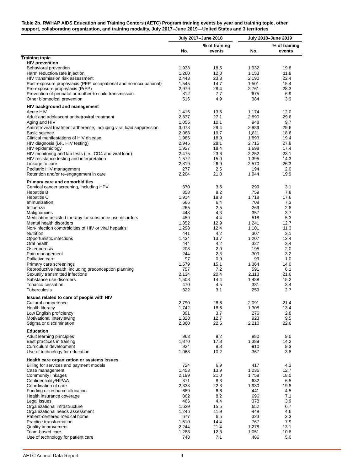#### <span id="page-11-0"></span>**Table 2b. RWHAP AIDS Education and Training Centers (AETC) Program training events by year and training topic, other support, collaborating organization, and training modality, July 2017–June 2019—United States and 3 territories**

|                                                                                       |                | July 2017-June 2018     |                | July 2018-June 2019     |
|---------------------------------------------------------------------------------------|----------------|-------------------------|----------------|-------------------------|
|                                                                                       | No.            | % of training<br>events | No.            | % of training<br>events |
| <b>Training topic</b>                                                                 |                |                         |                |                         |
| <b>HIV prevention</b>                                                                 |                | 18.5                    |                | 19.8                    |
| Behavioral prevention<br>Harm reduction/safe injection                                | 1,938<br>1,260 | 12.0                    | 1,932<br>1,153 | 11.8                    |
| HIV transmission risk assessment                                                      | 2,443          | 23.3                    | 2,190          | 22.4                    |
| Post-exposure prophylaxis (PEP, occupational and nonoccupational)                     | 1,545          | 14.7                    | 1,501          | 15.4                    |
| Pre-exposure prophylaxis (PrEP)                                                       | 2,979          | 28.4                    | 2,761          | 28.3                    |
| Prevention of perinatal or mother-to-child transmission                               | 812            | 7.7                     | 675            | 6.9                     |
| Other biomedical prevention                                                           | 516            | 4.9                     | 384            | 3.9                     |
| HIV background and management                                                         |                |                         |                |                         |
| Acute HIV                                                                             | 1,416          | 13.5                    | 1,174          | 12.0                    |
| Adult and adolescent antiretroviral treatment                                         | 2,837          | 27.1                    | 2,890          | 29.6                    |
| Aging and HIV<br>Antiretroviral treatment adherence, including viral load suppression | 1,055<br>3,078 | 10.1<br>29.4            | 948<br>2,889   | 9.7<br>29.6             |
| Basic science                                                                         | 2,068          | 19.7                    | 1,811          | 18.6                    |
| Clinical manifestations of HIV disease                                                | 1,986          | 18.9                    | 1,893          | 19.4                    |
| HIV diagnosis (i.e., HIV testing)                                                     | 2,945          | 28.1                    | 2,715          | 27.8                    |
| HIV epidemiology                                                                      | 1,927          | 18.4                    | 1,698          | 17.4                    |
| HIV monitoring and lab tests (i.e., CD4 and viral load)                               | 2,475          | 23.6                    | 2,252          | 23.1                    |
| HIV resistance testing and interpretation                                             | 1,572          | 15.0                    | 1,395          | 14.3                    |
| Linkage to care                                                                       | 2,819          | 26.9                    | 2,570          | 26.3                    |
| Pediatric HIV management                                                              | 277            | 2.6                     | 194            | 2.0                     |
| Retention and/or re-engagement in care                                                | 2,204          | 21.0                    | 1,944          | 19.9                    |
| <b>Primary care and comorbidities</b>                                                 |                |                         |                |                         |
| Cervical cancer screening, including HPV                                              | 370            | 3.5                     | 299            | 3.1                     |
| <b>Hepatitis B</b>                                                                    | 858            | 8.2                     | 759            | 7.8                     |
| <b>Hepatitis C</b>                                                                    | 1,914          | 18.3                    | 1,718          | 17.6                    |
| Immunization<br>Influenza                                                             | 666<br>265     | 6.4<br>2.5              | 708<br>269     | 7.3<br>2.8              |
| Malignancies                                                                          | 448            | 4.3                     | 357            | 3.7                     |
| Medication-assisted therapy for substance use disorders                               | 459            | 4.4                     | 518            | 5.3                     |
| Mental health disorders                                                               | 1,352          | 12.9                    | 1,241          | 12.7                    |
| Non-infection comorbidities of HIV or viral hepatitis                                 | 1,298          | 12.4                    | 1,101          | 11.3                    |
| <b>Nutrition</b>                                                                      | 441            | 4.2                     | 307            | 3.1                     |
| Opportunistic infections                                                              | 1,434          | 13.7                    | 1,207          | 12.4                    |
| Oral health                                                                           | 444            | 4.2                     | 327            | 3.4                     |
| Osteoporosis                                                                          | 208            | 2.0                     | 195            | 2.0                     |
| Pain management<br>Palliative care                                                    | 244<br>97      | 2.3<br>0.9              | 309<br>99      | 3.2<br>1.0              |
| Primary care screenings                                                               | 1,579          | 15.1                    | 1,364          | 14.0                    |
| Reproductive health, including preconception planning                                 | 757            | 7.2                     | 591            | 6.1                     |
| Sexually transmitted infections                                                       | 2,134          | 20.4                    | 2,113          | 21.6                    |
| Substance use disorders                                                               | 1,508          | 14.4                    | 1,488          | 15.2                    |
| Tobacco cessation                                                                     | 470            | 4.5                     | 331            | 3.4                     |
| Tuberculosis                                                                          | 322            | 3.1                     | 259            | 2.7                     |
| Issues related to care of people with HIV                                             |                |                         |                |                         |
| Cultural competence                                                                   | 2,790          | 26.6                    | 2,091          | 21.4                    |
| Health literacy                                                                       | 1,742          | 16.6                    | 1,308          | 13.4                    |
| Low English proficiency                                                               | 391            | 3.7                     | 276            | 2.8                     |
| Motivational interviewing<br>Stigma or discrimination                                 | 1,328<br>2,360 | 12.7<br>22.5            | 923<br>2,210   | 9.5<br>22.6             |
|                                                                                       |                |                         |                |                         |
| <b>Education</b><br>Adult learning principles                                         | 963            |                         | 880            |                         |
| Best practices in training                                                            | 1,870          | 9.2<br>17.8             | 1,389          | 9.0<br>14.2             |
| Curriculum development                                                                | 924            | 8.8                     | 910            | 9.3                     |
| Use of technology for education                                                       | 1,068          | 10.2                    | 367            | 3.8                     |
| Health care organization or systems issues                                            |                |                         |                |                         |
| Billing for services and payment models                                               | 724            | 6.9                     | 417            | 4.3                     |
| Case management                                                                       | 1,453          | 13.9                    | 1,236          | 12.7                    |
| Community linkages                                                                    | 2,199          | 21.0                    | 1,758          | 18.0                    |
| Confidentiality/HIPAA                                                                 | 871            | 8.3                     | 632            | 6.5                     |
| Coordination of care                                                                  | 2,338          | 22.3                    | 1,930          | 19.8                    |
| Funding or resource allocation                                                        | 689            | 6.6                     | 441            | 4.5                     |
| Health insurance coverage                                                             | 862            | 8.2                     | 696            | 7.1                     |
| Legal issues                                                                          | 466<br>1,629   | 4.4<br>15.5             | 378<br>652     | 3.9<br>6.7              |
| Organizational infrastructure<br>Organizational needs assessment                      | 1,246          | 11.9                    | 448            | 4.6                     |
| Patient-centered medical home                                                         | 677            | 6.5                     | 323            | 3.3                     |
| Practice transformation                                                               | 1,510          | 14.4                    | 767            | 7.9                     |
| Quality improvement                                                                   | 2,244          | 21.4                    | 1,278          | 13.1                    |
| Team-based care                                                                       | 1,288          | 12.3                    | 1,051          | 10.8                    |
| Use of technology for patient care                                                    | 748            | 7.1                     | 486            | 5.0                     |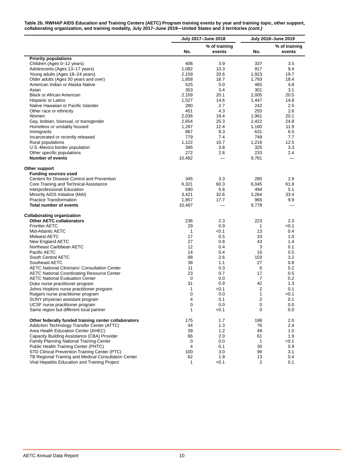| Table 2b. RWHAP AIDS Education and Training Centers (AETC) Program training events by year and training topic, other support, |  |
|-------------------------------------------------------------------------------------------------------------------------------|--|
| collaborating organization, and training modality, July 2017–June 2019—United States and 3 territories (cont.)                |  |

|                                                                      |              | July 2017-June 2018 |              | July 2018-June 2019 |
|----------------------------------------------------------------------|--------------|---------------------|--------------|---------------------|
|                                                                      |              | % of training       |              | % of training       |
|                                                                      | No.          | events              | No.          | events              |
| <b>Priority populations</b>                                          |              |                     |              |                     |
| Children (Ages 0-12 years)                                           | 406          | 3.9                 | 337          | 3.5                 |
| Adolescents (Ages 13-17 years)                                       | 1,082        | 10.3                | 917          | 9.4                 |
| Young adults (Ages 18-24 years)                                      | 2,159        | 20.6                | 1,923        | 19.7                |
| Older adults (Ages 50 years and over)                                | 1,958        | 18.7                | 1,793        | 18.4                |
| American Indian or Alaska Native                                     | 525          | 5.0                 | 465          | 4.8                 |
| Asian                                                                | 353          | 3.4                 | 301          | 3.1                 |
| Black or African American                                            | 2,109        | 20.1                | 2,005        | 20.5                |
| Hispanic or Latino                                                   | 1,527        | 14.6                | 1,447        | 14.8                |
| Native Hawaiian or Pacific Islander                                  | 280          | 2.7                 | 242          | 2.5                 |
| Other race or ethnicity                                              | 451          | 4.3                 | 255          | 2.6                 |
| Women                                                                | 2,036        | 19.4                | 1,961        | 20.1                |
| Gay, lesbian, bisexual, or transgender                               | 2,654        | 25.3                | 2,422        | 24.8                |
| Homeless or unstably housed                                          | 1,297        | 12.4                | 1,160        | 11.9                |
| Immigrants                                                           | 867          | 8.3                 | 631          | 6.5                 |
| Incarcerated or recently released                                    | 779          | 7.4                 | 749          | 7.7                 |
| Rural populations                                                    | 1,122        | 10.7                | 1,216        | 12.5                |
| U.S.-Mexico border population                                        | 395          | 3.8                 | 325          | 3.3                 |
|                                                                      | 272          |                     |              |                     |
| Other specific populations<br><b>Number of events</b>                |              | 2.6                 | 233          | 2.4                 |
|                                                                      | 10,482       |                     | 9,761        |                     |
| Other support                                                        |              |                     |              |                     |
| <b>Funding sources used</b>                                          |              |                     |              |                     |
| Centers for Disease Control and Prevention                           | 345          | 3.3                 | 280          | 2.9                 |
| Core Training and Technical Assistance                               | 6,321        | 60.3                | 6,045        | 61.8                |
| Interprofessional Education                                          | 590          | 5.6                 | 494          | 5.1                 |
| Minority AIDS Initiative (MAI)                                       | 3,421        | 32.6                | 3,264        | 33.4                |
| <b>Practice Transformation</b>                                       | 1,857        | 17.7                | 965          | 9.9                 |
| <b>Total number of events</b>                                        | 10,487       |                     | 9,778        |                     |
|                                                                      |              |                     |              |                     |
| <b>Collaborating organization</b><br><b>Other AETC collaborators</b> |              |                     |              | 2.3                 |
|                                                                      | 236          | 2.3                 | 223          |                     |
| <b>Frontier AETC</b>                                                 | 29           | 0.9                 | 1            | < 0.1               |
| Mid-Atlantic AETC                                                    | $\mathbf{1}$ | < 0.1               | 13           | 0.4                 |
| Midwest AETC                                                         | 17           | 0.5                 | 33           | 1.0                 |
| New England AETC                                                     | 27           | 0.8                 | 43           | 1.4                 |
| Northeast Caribbean AETC                                             | 12           | 0.4                 | 3            | 0.1                 |
| Pacific AETC                                                         | 14           | 0.4                 | 16           | 0.5                 |
| South Central AETC                                                   | 88           | 2.6                 | 103          | 3.2                 |
| Southeast AETC                                                       | 38           | 1.1                 | 27           | 0.8                 |
| <b>AETC National Clinicians' Consultation Center</b>                 | 11           | 0.3                 | 6            | 0.2                 |
| <b>AETC National Coordinating Resource Center</b>                    | 23           | 0.7                 | 17           | 0.5                 |
| <b>AETC National Evaluation Center</b>                               | 0            | 0.0                 | 7            | 0.2                 |
| Duke nurse practitioner program                                      | 31           | 0.9                 | 42           | 1.3                 |
| Johns Hopkins nurse practitioner program                             | 1            | < 0.1               | 2            | 0.1                 |
| Rutgers nurse practitioner program                                   | 0            | 0.0                 | 1            | < 0.1               |
| SUNY physician assistant program                                     | 4            | 0.1                 | 2            | 0.1                 |
| UCSF nurse practitioner program                                      | 0            | 0.0                 | 0            | 0.0                 |
| Same region but different local partner                              | 1            | < 0.1               | 0            | 0.0                 |
|                                                                      |              |                     |              |                     |
| Other federally funded training center collaborators                 | 175          | 1.7                 | 198          | 2.0                 |
| Addiction Technology Transfer Center (ATTC)                          | 44           | 1.3                 | 76           | 2.4                 |
| Area Health Education Center (AHEC)                                  | 39           | 1.2                 | 49           | 1.5                 |
| Capacity Building Assistance (CBA) Provider                          | 66           | 2.0                 | 61           | 1.9                 |
| Family Planning National Training Center                             | 0            | 0.0                 | $\mathbf{1}$ | < 0.1               |
| Public Health Training Center (PHTC)                                 | 4            | 0.1                 | 30           | 0.9                 |
| STD Clinical Prevention Training Center (PTC)                        | 100          | 3.0                 | 99           | 3.1                 |
| TB Regional Training and Medical Consultation Center                 | 62           | 1.9                 | 13           | 0.4                 |
| Viral Hepatitis Education and Training Project                       | 1            | <0.1                | 2            | 0.1                 |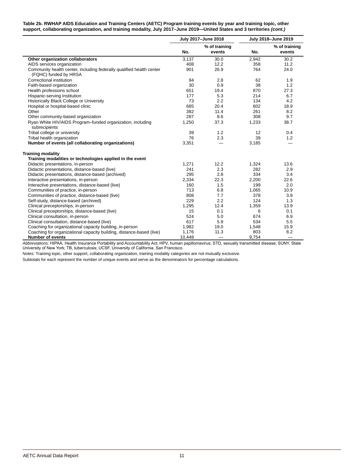#### **Table 2b. RWHAP AIDS Education and Training Centers (AETC) Program training events by year and training topic, other support, collaborating organization, and training modality, July 2017–June 2019—United States and 3 territories** *(cont.)*

|                                                                                               |        | July 2017-June 2018     |       | July 2018-June 2019      |
|-----------------------------------------------------------------------------------------------|--------|-------------------------|-------|--------------------------|
|                                                                                               | No.    | % of training<br>events | No.   | % of training<br>events  |
| Other organization collaborators                                                              | 3,137  | 30.0                    | 2.942 | 30.2                     |
| AIDS services organization                                                                    | 408    | 12.2                    | 358   | 11.2                     |
| Community health center, including federally qualified health center<br>(FQHC) funded by HRSA | 901    | 26.9                    | 764   | 24.0                     |
| Correctional institution                                                                      | 94     | 2.8                     | 62    | 1.9                      |
| Faith-based organization                                                                      | 30     | 0.9                     | 38    | 1.2                      |
| Health professions school                                                                     | 651    | 19.4                    | 870   | 27.3                     |
| Hispanic-serving Institution                                                                  | 177    | 5.3                     | 214   | 6.7                      |
| Historically Black College or University                                                      | 73     | 2.2                     | 134   | 4.2                      |
| Hospital or hospital-based clinic                                                             | 685    | 20.4                    | 602   | 18.9                     |
| Other                                                                                         | 382    | 11.4                    | 261   | 8.2                      |
| Other community-based organization                                                            | 287    | 8.6                     | 308   | 9.7                      |
| Ryan White HIV/AIDS Program-funded organization, including<br>subrecipients                   | 1,250  | 37.3                    | 1,233 | 38.7                     |
| Tribal college or university                                                                  | 39     | 1.2                     | 12    | 0.4                      |
| Tribal health organization                                                                    | 76     | 2.3                     | 39    | 1.2                      |
| Number of events (all collaborating organizations)                                            | 3,351  |                         | 3,185 |                          |
| <b>Training modality</b>                                                                      |        |                         |       |                          |
| Training modalities or technologies applied in the event                                      |        |                         |       |                          |
| Didactic presentations, in-person                                                             | 1,271  | 12.2                    | 1,324 | 13.6                     |
| Didactic presentations, distance-based (live)                                                 | 241    | 2.3                     | 282   | 2.9                      |
| Didactic presentations, distance-based (archived)                                             | 295    | 2.8                     | 334   | 3.4                      |
| Interactive presentations, in-person                                                          | 2,334  | 22.3                    | 2,200 | 22.6                     |
| Interactive presentations, distance-based (live)                                              | 160    | 1.5                     | 199   | 2.0                      |
| Communities of practice, in-person                                                            | 713    | 6.8                     | 1,065 | 10.9                     |
| Communities of practice, distance-based (live)                                                | 808    | 7.7                     | 378   | 3.9                      |
| Self-study, distance-based (archived)                                                         | 229    | 2.2                     | 124   | 1.3                      |
| Clinical preceptorships, in-person                                                            | 1,295  | 12.4                    | 1,359 | 13.9                     |
| Clinical preceptorships, distance-based (live)                                                | 15     | 0.1                     | 6     | 0.1                      |
| Clinical consultation, in-person                                                              | 524    | 5.0                     | 674   | 6.9                      |
| Clinical consultation, distance-based (live)                                                  | 617    | 5.9                     | 534   | 5.5                      |
| Coaching for organizational capacity building, in-person                                      | 1,982  | 19.0                    | 1,548 | 15.9                     |
| Coaching for organizational capacity building, distance-based (live)                          | 1,176  | 11.3                    | 803   | 8.2                      |
| <b>Number of events</b>                                                                       | 10,448 |                         | 9,754 | $\overline{\phantom{0}}$ |

*Abbreviations:* HIPAA, Health Insurance Portability and Accountability Act; HPV, human papillomavirus; STD, sexually transmitted disease; SUNY, State<br>University of New York; TB, tuberculosis; UCSF, University of Californi

*Notes:* Training topic, other support, collaborating organization, training modality categories are not mutually exclusive.

Subtotals for each represent the number of unique events and serve as the denominators for percentage calculations.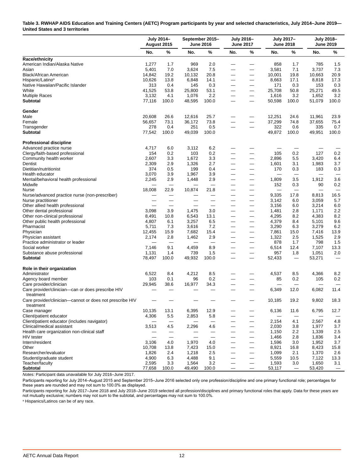#### <span id="page-14-0"></span>**Table 3. RWHAP AIDS Education and Training Centers (AETC) Program participants by year and selected characteristics, July 2014–June 2019— United States and 3 territories**

|                                                                       | July 2014-<br>August 2015 |       | <b>June 2016</b> | September 2015- | July 2016-<br><b>June 2017</b> |                                   |        | <b>July 2017-</b><br><b>June 2018</b> |        | <b>July 2018-</b><br><b>June 2019</b> |
|-----------------------------------------------------------------------|---------------------------|-------|------------------|-----------------|--------------------------------|-----------------------------------|--------|---------------------------------------|--------|---------------------------------------|
|                                                                       | No.                       | %     | No.              | %               | No.                            | %                                 | No.    | %                                     | No.    | %                                     |
| <b>Race/ethnicity</b>                                                 |                           |       |                  |                 |                                |                                   |        |                                       |        |                                       |
| American Indian/Alaska Native                                         | 1,277                     | 1.7   | 969              | 2.0             |                                |                                   | 858    | 1.7                                   | 785    | 1.5                                   |
| Asian                                                                 | 5,401                     | 7.0   | 3,624            | 7.5             |                                | —                                 | 3,581  | 7.1                                   | 3,737  | 7.3                                   |
| Black/African American                                                | 14,842                    | 19.2  | 10,132           | 20.8            |                                | $\overline{\phantom{0}}$          | 10,001 | 19.8                                  | 10,663 | 20.9                                  |
| Hispanic/Latino <sup>a</sup>                                          | 10,626                    | 13.8  | 6,848            | 14.1            |                                | $\qquad \qquad \longleftarrow$    | 8,663  | 17.1                                  | 8,818  | 17.3                                  |
| Native Hawaiian/Pacific Islander                                      | 313                       | 0.4   | 145              | 0.3             |                                |                                   | 171    | 0.3                                   | 153    | 0.3                                   |
| White                                                                 | 41,525                    | 53.8  | 25,800           | 53.1            |                                |                                   | 25,708 | 50.8                                  | 25,271 | 49.5                                  |
| <b>Multiple Races</b>                                                 | 3,132                     | 4.1   | 1,076            | 2.2             |                                | $\overline{\phantom{0}}$          | 1,616  | 3.2                                   | 1,652  | 3.2                                   |
| <b>Subtotal</b>                                                       | 77,116                    | 100.0 | 48,595           | 100.0           |                                |                                   | 50,598 | 100.0                                 | 51,079 | 100.0                                 |
| Gender                                                                |                           |       |                  |                 |                                |                                   |        |                                       |        |                                       |
| Male                                                                  | 20,608                    | 26.6  | 12,616           | 25.7            |                                |                                   | 12,251 | 24.6                                  | 11,961 | 23.9                                  |
| Female                                                                | 56,657                    | 73.1  | 36,172           | 73.8            |                                |                                   | 37,299 | 74.8                                  | 37,655 | 75.4                                  |
| Transgender                                                           | 278                       | 0.4   | 251              | 0.5             |                                |                                   | 322    | 0.6                                   | 335    | 0.7                                   |
| <b>Subtotal</b>                                                       | 77,542                    | 100.0 | 49,039           | 100.0           |                                |                                   | 49,872 | 100.0                                 | 49,951 | 100.0                                 |
| <b>Professional discipline</b>                                        |                           |       |                  |                 |                                |                                   |        |                                       |        |                                       |
| Advanced practice nurse                                               | 4,717                     | 6.0   | 3,112            | 6.2             |                                |                                   |        |                                       |        |                                       |
| Clergy/faith-based professional                                       | 154                       | 0.2   | 103              | 0.2             |                                | —                                 | 105    | 0.2                                   | 127    | 0.2                                   |
| Community health worker                                               | 2,607                     | 3.3   | 1,672            | 3.3             |                                |                                   | 2,896  | 5.5                                   | 3,420  | 6.4                                   |
| Dentist                                                               | 2,309                     | 2.9   | 1,326            | 2.7             |                                | $\overline{\phantom{0}}$          | 1,601  | 3.1                                   | 1,983  | 3.7                                   |
| Dietitian/nutritionist                                                | 374                       | 0.5   | 199              | 0.4             |                                |                                   | 170    | 0.3                                   | 183    | 0.3                                   |
| Health educator                                                       | 3,070                     | 3.9   | 1,967            | 3.9             |                                |                                   |        |                                       |        |                                       |
| Mental/behavioral health professional                                 | 2,245                     | 2.9   | 1,448            | 2.9             |                                | —                                 | 1,809  | 3.5                                   | 1,912  | 3.6                                   |
| Midwife                                                               |                           |       |                  |                 |                                |                                   | 152    | 0.3                                   | 90     | 0.2                                   |
| Nurse                                                                 | 18,008                    | 22.9  | 10,874           | 21.8            |                                |                                   |        |                                       |        |                                       |
| Nurse/advanced practice nurse (non-prescriber)                        |                           |       |                  |                 |                                | $\overline{\phantom{0}}$          | 9,335  | 17.8                                  | 8,813  | 16.5                                  |
| Nurse practitioner                                                    |                           |       |                  |                 |                                | —                                 | 3,142  | 6.0                                   | 3,059  | 5.7                                   |
| Other allied health professional                                      |                           |       |                  |                 |                                | $\overline{\phantom{0}}$          | 3,156  | 6.0                                   | 3,214  | 6.0                                   |
| Other dental professional                                             | 3,098                     | 3.9   | 1,475            | 3.0             |                                | $\overline{\phantom{0}}$          | 1,481  | 2.8                                   | 1,171  | 2.2                                   |
| Other non-clinical professional                                       | 8,491                     | 10.8  | 6,543            | 13.1            |                                | $\overline{\phantom{0}}$          | 4,295  | 8.2                                   | 4,383  | 8.2                                   |
| Other public health professional                                      | 4,807                     | 6.1   | 3,257            | 6.5             |                                | —                                 | 4,379  | 8.4                                   | 5,101  | 9.6                                   |
| Pharmacist                                                            | 5,711                     | 7.3   | 3,616            | 7.2             |                                | $\overline{\phantom{0}}$          | 3,290  | 6.3                                   | 3,279  | 6.2                                   |
| Physician                                                             | 12,455                    | 15.9  | 7,682            | 15.4            |                                | —                                 | 7,861  | 15.0                                  | 7,416  | 13.9                                  |
| Physician assistant                                                   | 2,174                     | 2.8   | 1,462            | 2.9             |                                | $\qquad \qquad \longleftarrow$    | 1,322  | 2.5                                   | 1,525  | 2.9                                   |
| Practice administrator or leader                                      |                           |       |                  |                 |                                | $\overline{\phantom{0}}$          | 878    | 1.7                                   | 798    | 1.5                                   |
| Social worker                                                         | 7,146                     | 9.1   | 4,459            | 8.9             |                                | $\overline{\phantom{m}}$          | 6,514  | 12.4                                  | 7,107  | 13.3                                  |
| Substance abuse professional                                          | 1,131                     | 1.4   | 739              | 1.5             |                                |                                   | 957    | 1.8                                   | 1,051  | 2.0                                   |
| Subtotal                                                              | 78,497                    | 100.0 | 49,932           | 100.0           | $\overline{\phantom{0}}$       |                                   | 52,433 | $\overline{\phantom{m}}$              | 53,271 | $\overbrace{\phantom{12321111}}$      |
| Role in their organization                                            |                           |       |                  |                 |                                |                                   |        |                                       |        |                                       |
| Administrator                                                         | 6,522                     | 8.4   | 4,212            | 8.5             |                                |                                   | 4,537  | 8.5                                   | 4,366  | 8.2                                   |
| Agency board member                                                   | 103                       | 0.1   | 96               | 0.2             |                                |                                   | 85     | 0.2                                   | 105    | 0.2                                   |
| Care provider/clinician                                               | 29,945                    | 38.6  | 16,977           | 34.3            |                                |                                   |        |                                       |        |                                       |
| Care provider/clinician-can or does prescribe HIV<br>treatment        |                           |       |                  |                 |                                |                                   | 6,349  | 12.0                                  | 6,082  | 11.4                                  |
| Care provider/clinician-cannot or does not prescribe HIV<br>treatment |                           |       |                  |                 |                                |                                   | 10,185 | 19.2                                  | 9,802  | 18.3                                  |
| Case manager                                                          | 10,135                    | 13.1  | 6,395            | 12.9            |                                |                                   | 6,136  | 11.6                                  | 6,795  | 12.7                                  |
| Client/patient educator                                               | 4,306                     | 5.5   | 2,853            | 5.8             |                                | $\overline{\phantom{0}}$          |        |                                       |        |                                       |
| Client/patient educator (includes navigator)                          |                           |       |                  |                 |                                | —                                 | 2,154  | 4.1                                   | 2,567  | 4.8                                   |
| Clinical/medical assistant                                            | 3,513                     | 4.5   | 2,296            | 4.6             | $\overline{\phantom{0}}$       |                                   | 2,030  | 3.8                                   | 1,977  | 3.7                                   |
| Health care organization non-clinical staff                           |                           | —     |                  |                 |                                | —                                 | 1,150  | 2.2                                   | 1,339  | 2.5                                   |
| <b>HIV</b> tester                                                     |                           |       |                  |                 |                                | $\qquad \qquad -$                 | 1,466  | 2.8                                   | 1,836  | 3.4                                   |
| Intern/resident                                                       | 3,106                     | 4.0   | 1,970            | 4.0             |                                | $\qquad \qquad \longleftarrow$    | 1,596  | 3.0                                   | 1,952  | 3.7                                   |
| Other                                                                 | 10,708                    | 13.8  | 7,423            | 15.0            |                                | $\qquad \qquad -$                 | 8,921  | 16.8                                  | 8,423  | 15.8                                  |
| Researcher/evaluator                                                  | 1,826                     | 2.4   | 1,218            | 2.5             |                                | $\qquad \qquad -$                 | 1,099  | 2.1                                   | 1,370  | 2.6                                   |
| Student/graduate student                                              | 4,900                     | 6.3   | 4,488            | 9.1             |                                | $\qquad \qquad -$                 | 5,559  | 10.5                                  | 7,122  | 13.3                                  |
| Teacher/faculty                                                       | 2,595                     | 3.3   | 1,564            | 3.2             |                                | $\overbrace{\phantom{123221111}}$ | 1,593  | 3.0                                   | 1,650  | 3.1                                   |
| <b>Subtotal</b>                                                       | 77,658                    | 100.0 | 49,490           | 100.0           |                                |                                   | 53,117 | $\overline{\phantom{m}}$              | 53,420 | $\qquad \qquad -$                     |

*Notes:* Participant data unavailable for July 2016–June 2017.

Participants reporting for July 2014–August 2015 and September 2015–June 2016 selected only one profession/discipline and one primary functional role; percentages for these years are rounded and may not sum to 100.0% as displayed.

Participants reporting for July 2017–June 2018 and July 2018–June 2019 selected all profession/disciplines and primary functional roles that apply. Data for these years are<br>not mutually exclusive; numbers may not sum to th

a Hispanics/Latinos can be of any race.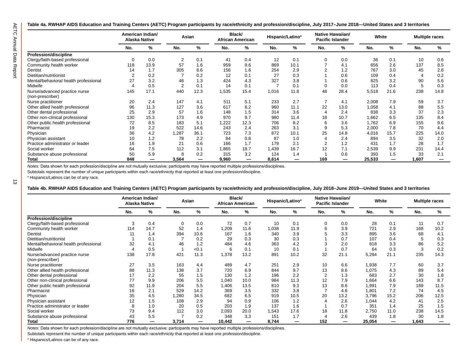$\vec{\omega}$ 

#### <span id="page-15-0"></span>**Table 4a. RWHAP AIDS Education and Training Centers (AETC) Program participants by race/ethnicity and profession/discipline, July 2017–June 2018—United States and 3 territories**

|                                       | American Indian/ | <b>Alaska Native</b> | Asian          |      |       | Black/<br><b>African American</b> | Hispanic/Latino <sup>a</sup> |      | Native Hawaiian/ | <b>Pacific Islander</b> |        | White |       | <b>Multiple races</b> |  |  |
|---------------------------------------|------------------|----------------------|----------------|------|-------|-----------------------------------|------------------------------|------|------------------|-------------------------|--------|-------|-------|-----------------------|--|--|
|                                       | No.              | %                    | No.            | %    | No.   | %                                 | No.                          | %    | No.              | %                       | No.    | %     | No.   | %                     |  |  |
| Profession/discipline                 |                  |                      |                |      |       |                                   |                              |      |                  |                         |        |       |       |                       |  |  |
| Clergy/faith-based professional       | 0                | 0.0                  | 2              | 0.1  | 41    | 0.4                               | 12                           | 0.1  | 0                | 0.0                     | 36     | 0.1   | 10    | 0.6                   |  |  |
| Community health worker               | 118              | 13.9                 | 57             | 1.6  | 959   | 9.6                               | 869                          | 10.1 |                  | 4.1                     | 656    | 2.6   | 137   | 8.5                   |  |  |
| Dentist                               | 14               | 1.7                  | 305            | 8.6  | 156   | 1.6                               | 254                          | 2.9  |                  | 1.2                     | 767    | 3.0   | 45    | 2.8                   |  |  |
| Dietitian/nutritionist                |                  | 0.2                  |                | 0.2  | 12    | 0.1                               | 27                           | 0.3  |                  | 0.6                     | 109    | 0.4   |       | 0.2                   |  |  |
| Mental/behavioral health professional | 27               | 3.2                  | 46             | 1.3  | 424   | 4.3                               | 327                          | 3.8  |                  | 0.6                     | 825    | 3.2   | 90    | 5.6                   |  |  |
| Midwife                               |                  | 0.5                  | $\overline{2}$ | 0.1  | 14    | 0.1                               | 7                            | 0.1  | $\Omega$         | 0.0                     | 113    | 0.4   | 5     | 0.3                   |  |  |
| Nurse/advanced practice nurse         | 145              | 17.1                 | 440            | 12.3 | 1,535 | 15.4                              | 1,016                        | 11.8 | 48               | 28.4                    | 5,518  | 21.6  | 238   | 14.8                  |  |  |
| (non-prescriber)                      |                  |                      |                |      |       |                                   |                              |      |                  |                         |        |       |       |                       |  |  |
| Nurse practitioner                    | 20               | 2.4                  | 147            | 4.1  | 511   | 5.1                               | 233                          | 2.7  |                  | 4.1                     | 2,008  | 7.9   | 59    | 3.7                   |  |  |
| Other allied health professional      | 96               | 11.3                 | 127            | 3.6  | 617   | 6.2                               | 960                          | 11.1 | 22               | 13.0                    | 1,058  | 4.1   | 88    | 5.5                   |  |  |
| Other dental professional             | 25               | 2.9                  | 57             | 1.6  | 148   | 1.5                               | 314                          | 3.6  | 4                | 2.4                     | 838    | 3.3   | 37    | 2.3                   |  |  |
| Other non-clinical professional       | 130              | 15.3                 | 173            | 4.9  | 970   | 9.7                               | 980                          | 11.4 | 18               | 10.7                    | 1,662  | 6.5   | 135   | 8.4                   |  |  |
| Other public health professional      | 72               | 8.5                  | 183            | 5.1  | 1,222 | 12.3                              | 706                          | 8.2  | 6                | 3.6                     | 1,762  | 6.9   | 155   | 9.6                   |  |  |
| Pharmacist                            | 19               | 2.2                  | 522            | 14.6 | 243   | 2.4                               | 263                          | 3.1  | 9                | 5.3                     | 2,000  | 7.8   | 70    | 4.4                   |  |  |
| Physician                             | 36               | 4.2                  | ,287           | 36.1 | 723   | 7.3                               | 872                          | 10.1 | 25               | 14.8                    | 4,016  | 15.7  | 225   | 14.0                  |  |  |
| Physician assistant                   | 10               | 1.2                  | 78             | 2.2  | 84    | 0.8                               | 87                           | 1.0  | 4                | 2.4                     | 894    | 3.5   | 32    | 2.0                   |  |  |
| Practice administrator or leader      | 16               | 1.9                  | 21             | 0.6  | 166   | 1.7                               | 179                          | 2.1  | 2                | 1.2                     | 431    | 1.7   | 28    | 1.7                   |  |  |
| Social worker                         | 64               | 7.5                  | 112            | 3.1  | 1,865 | 18.7                              | 1,439                        | 16.7 | 12               | 7.1                     | 2,539  | 9.9   | 231   | 14.4                  |  |  |
| Substance abuse professional          | 50               | 5.9                  | 8              | 0.2  | 315   | 3.2                               | 124                          | 1.4  |                  | 0.6                     | 393    | 1.5   | 33    | 2.1                   |  |  |
| Total                                 | 848              | —                    | 3,564          |      | 9,960 | —                                 | 8,614                        | —    | 169              | —                       | 25,533 |       | 1,607 |                       |  |  |

*Notes:* Data shown for each profession/discipline are not mutually exclusive; participants may have reported multiple professions/disciplines.

Subtotals represent the number of unique participants within each race/ethnicity that reported at least one profession/discipline.

a Hispanics/Latinos can be of any race.

**Table 4b. RWHAP AIDS Education and Training Centers (AETC) Program participants by race/ethnicity and profession/discipline, July 2018–June 2019—United States and 3 territories**

|                                       |                          | American Indian/<br><b>Alaska Native</b> | Asian |       | Black/<br><b>African American</b> |      |       | Hispanic/Latino <sup>a</sup> |     | Native Hawaiian/<br><b>Pacific Islander</b> |        | White |       | <b>Multiple races</b> |
|---------------------------------------|--------------------------|------------------------------------------|-------|-------|-----------------------------------|------|-------|------------------------------|-----|---------------------------------------------|--------|-------|-------|-----------------------|
|                                       | No.                      | $\%$                                     | No.   | %     | No.                               | %    | No.   | $\%$                         | No. | %                                           | No.    | $\%$  | No.   | %                     |
| <b>Profession/discipline</b>          |                          |                                          |       |       |                                   |      |       |                              |     |                                             |        |       |       |                       |
| Clergy/faith-based professional       | 3                        | 0.4                                      | 0     | 0.0   | 72                                | 0.7  | 10    | 0.1                          | 0   | 0.0                                         | 28     | 0.1   | 11    | 0.7                   |
| Community health worker               | 114                      | 14.7                                     | 52    | 1.4   | 1,209                             | 11.6 | 1,038 | 11.9                         | 6   | 3.9                                         | 721    | 2.9   | 168   | 10.2                  |
| Dentist                               | 11                       | 1.4                                      | 394   | 10.6  | 167                               | 1.6  | 340   | 3.9                          |     | 3.3                                         | 895    | 3.6   | 68    | 4.1                   |
| Dietitian/nutritionist                |                          | 0.1                                      |       | 0.2   | 29                                | 0.3  | 30    | 0.3                          |     | 0.7                                         | 107    | 0.4   |       | 0.3                   |
| Mental/behavioral health professional | 32                       | 4.1                                      | 46    | 1.2   | 484                               | 4.6  | 363   | 4.2                          |     | 2.0                                         | 818    | 3.3   | 86    | 5.2                   |
| Midwife                               | $\boldsymbol{\varDelta}$ | 0.5                                      |       | < 0.1 | 6                                 | 0.1  | 10    | 0.1                          |     | 0.7                                         | 64     | 0.3   | 3     | 0.2                   |
| Nurse/advanced practice nurse         | 138                      | 17.8                                     | 421   | 11.3  | 1,378                             | 13.2 | 891   | 10.2                         | 32  | 21.1                                        | 5,294  | 21.1  | 235   | 14.3                  |
| (non-prescriber)                      |                          |                                          |       |       |                                   |      |       |                              |     |                                             |        |       |       |                       |
| Nurse practitioner                    | 27                       | 3.5                                      | 163   | 4.4   | 489                               | 4.7  | 251   | 2.9                          | 10  | 6.6                                         | 1,938  | 7.7   | 60    | 3.7                   |
| Other allied health professional      | 88                       | 11.3                                     | 138   | 3.7   | 720                               | 6.9  | 844   | 9.7                          | 13  | 8.6                                         | 1,075  | 4.3   | 89    | 5.4                   |
| Other dental professional             | 17                       | 2.2                                      | 55    | 1.5   | 130                               | 1.2  | 196   | 2.2                          | 2   | 1.3                                         | 683    | 2.7   | 30    | 1.8                   |
| Other non-clinical professional       | 77                       | 9.9                                      | 206   | 5.5   | 1,040                             | 10.0 | 984   | 11.3                         | 12  | 7.9                                         | 1,664  | 6.6   | 143   | 8.7                   |
| Other public health professional      | 92                       | 11.9                                     | 204   | 5.5   | 1,406                             | 13.5 | 810   | 9.3                          | 13  | 8.6                                         | 1,991  | 7.9   | 189   | 11.5                  |
| Pharmacist                            | 16                       | 2.1                                      | 529   | 14.2  | 369                               | 3.5  | 332   | 3.8                          |     | 4.6                                         | 1,801  | 7.2   | 74    | 4.5                   |
| Physician                             | 35                       | 4.5                                      | 1,280 | 34.5  | 682                               | 6.5  | 919   | 10.5                         | 20  | 13.2                                        | 3,796  | 15.2  | 206   | 12.5                  |
| Physician assistant                   | 12                       | 1.5                                      | 108   | 2.9   | 94                                | 0.9  | 106   | 1.2                          |     | 2.6                                         | 1,044  | 4.2   | 41    | 2.5                   |
| Practice administrator or leader      | 8                        | 1.0                                      | 20    | 0.5   | 203                               | 1.9  | 137   | 1.6                          |     | 0.7                                         | 351    | 1.4   | 25    | 1.5                   |
| Social worker                         | 73                       | 9.4                                      | 112   | 3.0   | 2,093                             | 20.0 | 1,543 | 17.6                         | 18  | 11.8                                        | 2,750  | 11.0  | 238   | 14.5                  |
| Substance abuse professional          | 43                       | 5.5                                      |       | 0.2   | 348                               | 3.3  | 151   | 1.7                          |     | 2.6                                         | 439    | 1.8   | 30    | 1.8                   |
| <b>Total</b>                          | 776                      | —                                        | 3,714 |       | 10,442                            |      | 8,744 |                              | 152 |                                             | 25,054 |       | 1,643 |                       |

*Notes:* Data shown for each profession/discipline are not mutually exclusive; participants may have reported multiple professions/disciplines.

Subtotals represent the number of unique participants within each race/ethnicity that reported at least one profession/discipline.

a Hispanics/Latinos can be of any race.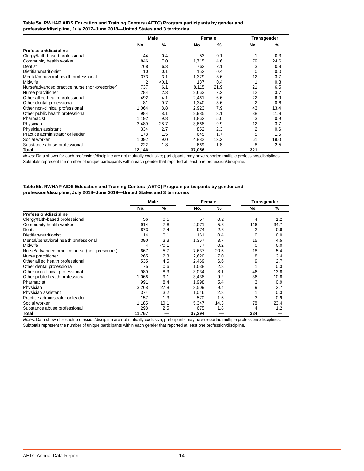#### <span id="page-16-0"></span>**Table 5a. RWHAP AIDS Education and Training Centers (AETC) Program participants by gender and profession/discipline, July 2017–June 2018—United States and 3 territories**

|                                                | <b>Male</b> |       | Female |               | Transgender |               |  |
|------------------------------------------------|-------------|-------|--------|---------------|-------------|---------------|--|
|                                                | No.         | %     | No.    | $\frac{9}{6}$ | No.         | $\frac{9}{6}$ |  |
| Profession/discipline                          |             |       |        |               |             |               |  |
| Clergy/faith-based professional                | 44          | 0.4   | 53     | 0.1           |             | 0.3           |  |
| Community health worker                        | 846         | 7.0   | 1,715  | 4.6           | 79          | 24.6          |  |
| Dentist                                        | 768         | 6.3   | 762    | 2.1           | 3           | 0.9           |  |
| Dietitian/nutritionist                         | 10          | 0.1   | 152    | 0.4           | 0           | 0.0           |  |
| Mental/behavioral health professional          | 373         | 3.1   | 1,329  | 3.6           | 12          | 3.7           |  |
| Midwife                                        | 2           | < 0.1 | 137    | 0.4           |             | 0.3           |  |
| Nurse/advanced practice nurse (non-prescriber) | 737         | 6.1   | 8.115  | 21.9          | 21          | 6.5           |  |
| Nurse practitioner                             | 284         | 2.3   | 2.663  | 7.2           | 12          | 3.7           |  |
| Other allied health professional               | 492         | 4.1   | 2,461  | 6.6           | 22          | 6.9           |  |
| Other dental professional                      | 81          | 0.7   | 1,340  | 3.6           | 2           | 0.6           |  |
| Other non-clinical professional                | 1,064       | 8.8   | 2,923  | 7.9           | 43          | 13.4          |  |
| Other public health professional               | 984         | 8.1   | 2,985  | 8.1           | 38          | 11.8          |  |
| Pharmacist                                     | 1,192       | 9.8   | 1,862  | 5.0           | 3           | 0.9           |  |
| Physician                                      | 3.489       | 28.7  | 3,668  | 9.9           | 12          | 3.7           |  |
| Physician assistant                            | 334         | 2.7   | 852    | 2.3           | 2           | 0.6           |  |
| Practice administrator or leader               | 178         | 1.5   | 645    | 1.7           | 5           | 1.6           |  |
| Social worker                                  | 1,092       | 9.0   | 4,882  | 13.2          | 61          | 19.0          |  |
| Substance abuse professional                   | 222         | 1.8   | 669    | 1.8           | 8           | 2.5           |  |
| Total                                          | 12,146      |       | 37,056 |               | 321         |               |  |

*Notes:* Data shown for each profession/discipline are not mutually exclusive; participants may have reported multiple professions/disciplines. Subtotals represent the number of unique participants within each gender that reported at least one profession/discipline.

#### **Table 5b. RWHAP AIDS Education and Training Centers (AETC) Program participants by gender and profession/discipline, July 2018–June 2019—United States and 3 territories**

|                                                | <b>Male</b> |               | Female |      | <b>Transgender</b> |      |  |
|------------------------------------------------|-------------|---------------|--------|------|--------------------|------|--|
|                                                | No.         | $\frac{9}{6}$ | No.    | %    | No.                | %    |  |
| <b>Profession/discipline</b>                   |             |               |        |      |                    |      |  |
| Clergy/faith-based professional                | 56          | 0.5           | 57     | 0.2  | 4                  | 1.2  |  |
| Community health worker                        | 914         | 7.8           | 2,071  | 5.6  | 116                | 34.7 |  |
| Dentist                                        | 873         | 7.4           | 974    | 2.6  | 2                  | 0.6  |  |
| Dietitian/nutritionist                         | 14          | 0.1           | 161    | 0.4  | 0                  | 0.0  |  |
| Mental/behavioral health professional          | 390         | 3.3           | 1,367  | 3.7  | 15                 | 4.5  |  |
| Midwife                                        | 4           | < 0.1         | 77     | 0.2  | 0                  | 0.0  |  |
| Nurse/advanced practice nurse (non-prescriber) | 667         | 5.7           | 7,637  | 20.5 | 18                 | 5.4  |  |
| Nurse practitioner                             | 265         | 2.3           | 2.620  | 7.0  | 8                  | 2.4  |  |
| Other allied health professional               | 535         | 4.5           | 2,469  | 6.6  | 9                  | 2.7  |  |
| Other dental professional                      | 75          | 0.6           | 1,038  | 2.8  |                    | 0.3  |  |
| Other non-clinical professional                | 980         | 8.3           | 3,034  | 8.1  | 46                 | 13.8 |  |
| Other public health professional               | 1,066       | 9.1           | 3,438  | 9.2  | 36                 | 10.8 |  |
| Pharmacist                                     | 991         | 8.4           | 1,998  | 5.4  | 3                  | 0.9  |  |
| Physician                                      | 3,268       | 27.8          | 3.509  | 9.4  | 9                  | 2.7  |  |
| Physician assistant                            | 374         | 3.2           | 1,046  | 2.8  |                    | 0.3  |  |
| Practice administrator or leader               | 157         | 1.3           | 570    | 1.5  | 3                  | 0.9  |  |
| Social worker                                  | 1,185       | 10.1          | 5,347  | 14.3 | 78                 | 23.4 |  |
| Substance abuse professional                   | 298         | 2.5           | 675    | 1.8  | 4                  | 1.2  |  |
| Total                                          | 11,767      |               | 37,294 |      | 334                |      |  |

*Notes:* Data shown for each profession/discipline are not mutually exclusive; participants may have reported multiple professions/disciplines. Subtotals represent the number of unique participants within each gender that reported at least one profession/discipline.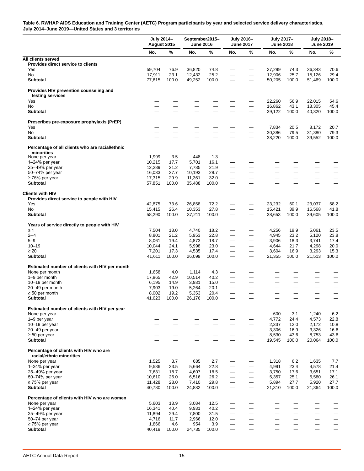<span id="page-17-0"></span>**Table 6. RWHAP AIDS Education and Training Center (AETC) Program participants by year and selected service delivery characteristics, July 2014–June 2019—United States and 3 territories**

|                                                                  | July 2014-<br>August 2015 |               | September2015-<br><b>June 2016</b> |                                  |                                   | July 2016-<br><b>June 2017</b>                               | July 2017-<br><b>June 2018</b> |                                  | July 2018-<br><b>June 2019</b>   |               |
|------------------------------------------------------------------|---------------------------|---------------|------------------------------------|----------------------------------|-----------------------------------|--------------------------------------------------------------|--------------------------------|----------------------------------|----------------------------------|---------------|
|                                                                  | No.                       | %             | No.                                | %                                | No.                               | $\%$                                                         | No.                            | %                                | No.                              | %             |
| All clients served                                               |                           |               |                                    |                                  |                                   |                                                              |                                |                                  |                                  |               |
| Provides direct service to clients                               |                           |               |                                    |                                  |                                   |                                                              |                                |                                  |                                  |               |
| Yes<br>No                                                        | 59,704<br>17,911          | 76.9<br>23.1  | 36,820<br>12,432                   | 74.8<br>25.2                     |                                   | $\overline{\phantom{m}}$                                     | 37,299<br>12,906               | 74.3<br>25.7                     | 36.343<br>15,126                 | 70.6<br>29.4  |
| <b>Subtotal</b>                                                  | 77,615                    | 100.0         | 49,252                             | 100.0                            |                                   |                                                              | 50,205                         | 100.0                            | 51,469                           | 100.0         |
| Provides HIV prevention counseling and<br>testing services       |                           |               |                                    |                                  |                                   |                                                              |                                |                                  |                                  |               |
| Yes                                                              |                           |               |                                    |                                  |                                   |                                                              | 22,260                         | 56.9                             | 22,015                           | 54.6          |
| No                                                               |                           |               |                                    |                                  | $\overline{\phantom{0}}$          |                                                              | 16,862                         | 43.1                             | 18,305                           | 45.4          |
| <b>Subtotal</b>                                                  |                           |               |                                    |                                  |                                   | $\overline{\phantom{0}}$                                     | 39,122                         | 100.0                            | 40,320                           | 100.0         |
| Prescribes pre-exposure prophylaxis (PrEP)                       |                           |               |                                    |                                  |                                   |                                                              |                                |                                  |                                  |               |
| Yes<br>No                                                        |                           |               |                                    |                                  |                                   |                                                              | 7,834<br>30,386                | 20.5<br>79.5                     | 8,172                            | 20.7          |
| <b>Subtotal</b>                                                  |                           |               |                                    |                                  |                                   | $\overline{\phantom{0}}$                                     | 38,220                         | 100.0                            | 31,380<br>39,552                 | 79.3<br>100.0 |
| Percentage of all clients who are racial/ethnic                  |                           |               |                                    |                                  |                                   |                                                              |                                |                                  |                                  |               |
| minorities                                                       |                           |               |                                    |                                  |                                   |                                                              |                                |                                  |                                  |               |
| None per year                                                    | 1,999                     | 3.5           | 448                                | 1.3                              |                                   |                                                              |                                |                                  |                                  |               |
| $1-24%$ per year                                                 | 10,215                    | 17.7          | 5,701                              | 16.1<br>21.9                     |                                   |                                                              |                                |                                  |                                  |               |
| 25-49% per year<br>50-74% per year                               | 12,289<br>16,033          | 21.2<br>27.7  | 7,785<br>10,193                    | 28.7                             | —                                 | $\overline{\phantom{0}}$                                     |                                | —                                | $\overline{\phantom{0}}$         | —             |
| $\geq$ 75% per year                                              | 17,315                    | 29.9          | 11,361                             | 32.0                             | $\overbrace{\phantom{123221111}}$ | $\overline{\phantom{0}}$                                     |                                |                                  | —                                |               |
| <b>Subtotal</b>                                                  | 57,851                    | 100.0         | 35,488                             | 100.0                            |                                   |                                                              |                                |                                  |                                  |               |
| <b>Clients with HIV</b>                                          |                           |               |                                    |                                  |                                   |                                                              |                                |                                  |                                  |               |
| Provides direct service to people with HIV                       |                           |               |                                    |                                  |                                   |                                                              |                                |                                  |                                  |               |
| Yes                                                              | 42,875                    | 73.6          | 26,858                             | 72.2                             |                                   |                                                              | 23,232                         | 60.1                             | 23,037                           | 58.2          |
| <b>No</b><br><b>Subtotal</b>                                     | 15,415<br>58,290          | 26.4<br>100.0 | 10,353<br>37,211                   | 27.8<br>100.0                    | —                                 | —<br>$\overline{\phantom{0}}$                                | 15,421<br>38,653               | 39.9<br>100.0                    | 16,568<br>39,605                 | 41.8<br>100.0 |
|                                                                  |                           |               |                                    |                                  |                                   |                                                              |                                |                                  |                                  |               |
| Years of service directly to people with HIV<br>$\leq 1$         | 7,504                     | 18.0          | 4,740                              | 18.2                             |                                   |                                                              | 4,256                          | 19.9                             | 5,061                            | 23.5          |
| $2 - 4$                                                          | 8,801                     | 21.2          | 5,953                              | 22.8                             | $\overline{\phantom{0}}$          | —                                                            | 4,945                          | 23.2                             | 5,120                            | 23.8          |
| $5 - 9$                                                          | 8,061                     | 19.4          | 4,873                              | 18.7                             | $\overline{\phantom{0}}$          | $\overline{\phantom{0}}$                                     | 3,906                          | 18.3                             | 3,741                            | 17.4          |
| $10 - 19$                                                        | 10,044                    | 24.1          | 5,998                              | 23.0                             |                                   | $\qquad \qquad -$                                            | 4,644                          | 21.7                             | 4,298                            | 20.0          |
| $\geq 20$                                                        | 7,201                     | 17.3          | 4,535                              | 17.4                             |                                   |                                                              | 3,604                          | 16.9                             | 3,293                            | 15.3          |
| <b>Subtotal</b>                                                  | 41,611                    | 100.0         | 26,099                             | 100.0                            |                                   |                                                              | 21,355                         | 100.0                            | 21,513                           | 100.0         |
| Estimated number of clients with HIV per month<br>None per month | 1,658                     | 4.0           | 1,114                              | 4.3                              |                                   |                                                              |                                |                                  |                                  |               |
| 1-9 per month                                                    | 17,865                    | 42.9          | 10,514                             | 40.2                             |                                   |                                                              |                                |                                  |                                  |               |
| 10-19 per month                                                  | 6,195                     | 14.9          | 3,931                              | 15.0                             |                                   |                                                              |                                |                                  |                                  | —             |
| 20-49 per month                                                  | 7,903                     | 19.0          | 5,264                              | 20.1                             | —                                 | $\overline{\phantom{0}}$                                     |                                | —                                | —                                | —             |
| $\geq 50$ per month                                              | 8,002                     | 19.2          | 5,353                              | 20.4                             | $\overline{\phantom{0}}$          | $\overline{\phantom{0}}$                                     |                                | $\overline{\phantom{0}}$         | $\overline{\phantom{0}}$         |               |
| <b>Subtotal</b>                                                  | 41,623                    | 100.0         | 26,176                             | 100.0                            | $\overline{\phantom{0}}$          |                                                              |                                |                                  | $\overline{\phantom{0}}$         |               |
| Estimated number of clients with HIV per year                    |                           |               |                                    |                                  |                                   |                                                              |                                |                                  |                                  |               |
| None per year<br>1-9 per year                                    |                           |               |                                    |                                  |                                   |                                                              | 600<br>4,772                   | 3.1<br>24.4                      | 1,240<br>4,573                   | 6.2<br>22.8   |
| 10-19 per year                                                   | $\overline{\phantom{0}}$  |               |                                    | $\overbrace{\phantom{12322111}}$ | $\overbrace{\phantom{12322111}}$  |                                                              | 2,337                          | 12.0                             | 2,172                            | 10.8          |
| 20-49 per year                                                   |                           |               |                                    | $\overline{\phantom{0}}$         |                                   | $\overline{\phantom{0}}$                                     | 3,306                          | 16.9                             | 3,326                            | 16.6          |
| $\geq 50$ per year                                               |                           |               |                                    |                                  |                                   | $\qquad \qquad -$                                            | 8,530                          | 43.6                             | 8,753                            | 43.6          |
| <b>Subtotal</b>                                                  |                           |               |                                    |                                  |                                   | $\overline{\phantom{0}}$                                     | 19,545                         | 100.0                            | 20,064                           | 100.0         |
| Percentage of clients with HIV who are                           |                           |               |                                    |                                  |                                   |                                                              |                                |                                  |                                  |               |
| racial/ethnic minorities                                         |                           |               |                                    |                                  |                                   |                                                              |                                |                                  |                                  |               |
| None per year                                                    | 1,525                     | 3.7           | 685                                | 2.7                              |                                   |                                                              | 1,318                          | 6.2                              | 1,635                            | 7.7           |
| $1-24%$ per year<br>25-49% per year                              | 9,586<br>7,631            | 23.5<br>18.7  | 5,664<br>4,607                     | 22.8<br>18.5                     |                                   | $\overline{\phantom{0}}$                                     | 4,991<br>3,750                 | 23.4<br>17.6                     | 4,578<br>3,651                   | 21.4<br>17.1  |
| 50-74% per year                                                  | 10,610                    | 26.0          | 6,516                              | 26.2                             |                                   | $\overline{\phantom{0}}$                                     | 5,357                          | 25.1                             | 5,580                            | 26.1          |
| $\geq$ 75% per year                                              | 11,428                    | 28.0          | 7,410                              | 29.8                             |                                   | $\qquad \qquad -$                                            | 5,894                          | 27.7                             | 5,920                            | 27.7          |
| <b>Subtotal</b>                                                  | 40,780                    | 100.0         | 24,882                             | 100.0                            |                                   | $\overbrace{\phantom{123221111}}$                            | 21,310                         | 100.0                            | 21,364                           | 100.0         |
| Percentage of clients with HIV who are women                     |                           |               |                                    |                                  |                                   |                                                              |                                |                                  |                                  |               |
| None per year                                                    | 5,603                     | 13.9          | 3,084                              | 12.5                             | —                                 |                                                              |                                |                                  |                                  |               |
| 1-24% per year                                                   | 16,341                    | 40.4          | 9,931                              | 40.2                             |                                   |                                                              |                                |                                  |                                  |               |
| 25-49% per year                                                  | 11,894                    | 29.4<br>11.7  | 7,800                              | 31.5<br>12.0                     | $\overbrace{\phantom{12322111}}$  | $\overbrace{\phantom{12321111}}$<br>$\overline{\phantom{0}}$ |                                | $\overbrace{\phantom{12322111}}$ | $\overbrace{\phantom{12322111}}$ |               |
| 50-74 per year<br>$\geq$ 75% per year                            | 4,716<br>1,866            | 4.6           | 2,966<br>954                       | 3.9                              | $\overline{\phantom{0}}$          |                                                              |                                |                                  |                                  |               |
| Subtotal                                                         | 40,419                    | 100.0         | 24,735                             | 100.0                            |                                   | $\overline{\phantom{0}}$                                     |                                |                                  |                                  |               |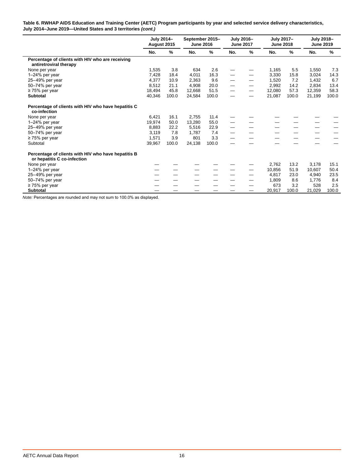#### **Table 6. RWHAP AIDS Education and Training Center (AETC) Program participants by year and selected service delivery characteristics, July 2014–June 2019—United States and 3 territories** *(cont.)*

|                                                                                    | July 2014-<br>August 2015 |       | September 2015-<br><b>June 2016</b> |               | July 2016-<br><b>June 2017</b> |      | July 2017-<br><b>June 2018</b> |               | July 2018-<br><b>June 2019</b> |       |
|------------------------------------------------------------------------------------|---------------------------|-------|-------------------------------------|---------------|--------------------------------|------|--------------------------------|---------------|--------------------------------|-------|
|                                                                                    | No.                       | %     | No.                                 | $\frac{9}{6}$ | No.                            | $\%$ | No.                            | $\frac{9}{6}$ | No.                            | $\%$  |
| Percentage of clients with HIV who are receiving<br>antiretroviral therapy         |                           |       |                                     |               |                                |      |                                |               |                                |       |
| None per year                                                                      | 1,535                     | 3.8   | 634                                 | 2.6           |                                |      | 1,165                          | 5.5           | 1,550                          | 7.3   |
| $1-24\%$ per year                                                                  | 7,428                     | 18.4  | 4,011                               | 16.3          |                                |      | 3,330                          | 15.8          | 3,024                          | 14.3  |
| 25-49% per year                                                                    | 4.377                     | 10.9  | 2.363                               | 9.6           |                                |      | 1.520                          | 7.2           | 1.432                          | 6.7   |
| 50-74% per year                                                                    | 8,512                     | 21.1  | 4,908                               | 20.0          |                                |      | 2,992                          | 14.2          | 2,834                          | 13.4  |
| $\geq$ 75% per year                                                                | 18,494                    | 45.8  | 12.668                              | 51.5          |                                |      | 12,080                         | 57.3          | 12,359                         | 58.3  |
| <b>Subtotal</b>                                                                    | 40,346                    | 100.0 | 24,584                              | 100.0         |                                |      | 21,087                         | 100.0         | 21,199                         | 100.0 |
| Percentage of clients with HIV who have hepatitis C<br>co-infection                |                           |       |                                     |               |                                |      |                                |               |                                |       |
| None per year                                                                      | 6,421                     | 16.1  | 2,755                               | 11.4          |                                |      |                                |               |                                |       |
| 1-24% per year                                                                     | 19.974                    | 50.0  | 13,280                              | 55.0          |                                |      |                                |               |                                |       |
| 25-49% per year                                                                    | 8,883                     | 22.2  | 5,516                               | 22.9          |                                |      |                                |               |                                |       |
| 50-74% per year                                                                    | 3,119                     | 7.8   | 1.787                               | 7.4           |                                |      |                                |               |                                |       |
| $\geq$ 75% per year                                                                | 1,571                     | 3.9   | 801                                 | 3.3           |                                |      |                                |               |                                |       |
| Subtotal                                                                           | 39,967                    | 100.0 | 24,138                              | 100.0         |                                |      |                                |               |                                |       |
| Percentage of clients with HIV who have hepatitis B<br>or hepatitis C co-infection |                           |       |                                     |               |                                |      |                                |               |                                |       |
| None per year                                                                      |                           |       |                                     |               |                                |      | 2,762                          | 13.2          | 3,178                          | 15.1  |
| 1-24% per year                                                                     |                           |       |                                     |               |                                |      | 10,856                         | 51.9          | 10.607                         | 50.4  |
| 25-49% per year                                                                    |                           |       |                                     |               |                                |      | 4.817                          | 23.0          | 4.940                          | 23.5  |
| 50-74% per year                                                                    |                           |       |                                     |               |                                |      | 1,809                          | 8.6           | 1,776                          | 8.4   |
| $\geq$ 75% per year                                                                |                           |       |                                     |               |                                |      | 673                            | 3.2           | 528                            | 2.5   |
| <b>Subtotal</b>                                                                    |                           |       |                                     |               |                                |      | 20,917                         | 100.0         | 21,029                         | 100.0 |

*Note:* Percentages are rounded and may not sum to 100.0% as displayed.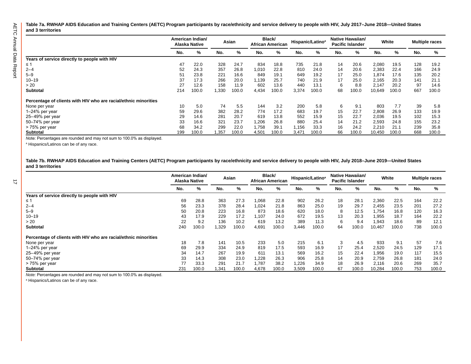<span id="page-19-0"></span>**Table 7a. RWHAP AIDS Education and Training Centers (AETC) Program participants by race/ethnicity and service delivery to people with HIV, July 2017–June 2018—United States and 3 territories**

|                                                                 |     | American Indian/<br>Alaska Native | Asian  |       | Black/<br><b>African American</b> |       | Hispanic/Latino <sup>a</sup> |       | Native Hawaiian/<br><b>Pacific Islander</b> |       | White  |       | <b>Multiple races</b> |       |
|-----------------------------------------------------------------|-----|-----------------------------------|--------|-------|-----------------------------------|-------|------------------------------|-------|---------------------------------------------|-------|--------|-------|-----------------------|-------|
|                                                                 | No. | %                                 | No.    | %     | No.                               | %     | No.                          | %     | No.                                         | %     | No.    | %     | No.                   | %     |
| Years of service directly to people with HIV                    |     |                                   |        |       |                                   |       |                              |       |                                             |       |        |       |                       |       |
| ≤ 1                                                             | 47  | 22.0                              | 328    | 24.7  | 834                               | 18.8  | 735                          | 21.8  | 14                                          | 20.6  | 2,080  | 19.5  | 128                   | 19.2  |
| $2 - 4$                                                         | 52  | 24.3                              | 357    | 26.8  | 1,010                             | 22.8  | 810                          | 24.0  | 14                                          | 20.6  | 2,383  | 22.4  | 166                   | 24.9  |
| $5 - 9$                                                         | 51  | 23.8                              | 221    | 16.6  | 849                               | 19.1  | 649                          | 19.2  | 17                                          | 25.0  | 1.874  | 17.6  | 135                   | 20.2  |
| $10 - 19$                                                       | 37  | 17.3                              | 266    | 20.0  | 1,139                             | 25.7  | 740                          | 21.9  | 17                                          | 25.0  | 2,165  | 20.3  | 141                   | 21.1  |
| > 20                                                            | 27  | 12.6                              | 158    | 11.9  | 602                               | 13.6  | 440                          | 13.1  | 6                                           | 8.8   | 2.147  | 20.2  | 97                    | 14.6  |
| <b>Subtotal</b>                                                 | 214 | 100.0                             | 1,330  | 100.0 | 4,434                             | 100.0 | 3,374                        | 100.0 | 68                                          | 100.0 | 10,649 | 100.0 | 667                   | 100.0 |
| Percentage of clients with HIV who are racial/ethnic minorities |     |                                   |        |       |                                   |       |                              |       |                                             |       |        |       |                       |       |
| None per year                                                   | 10  | 5.0                               | 74     | 5.5   | 144                               | 3.2   | 200                          | 5.8   | 6                                           | 9.1   | 803    | 7.7   | 39                    | 5.8   |
| 1-24% per year                                                  | 59  | 29.6                              | 382    | 28.2  | 774                               | 17.2  | 683                          | 19.7  | 15                                          | 22.7  | 2,808  | 26.9  | 133                   | 19.9  |
| 25-49% per year                                                 | 29  | 14.6                              | 281    | 20.7  | 619                               | 13.8  | 552                          | 15.9  | 15                                          | 22.7  | 2,036  | 19.5  | 102                   | 15.3  |
| 50-74% per year                                                 | 33  | 16.6                              | 321    | 23.7  | 1,206                             | 26.8  | 880                          | 25.4  | 14                                          | 21.2  | 2,593  | 24.8  | 155                   | 23.2  |
| > 75% per year                                                  | 68  | 34.2                              | 299    | 22.0  | 1,758                             | 39.1  | 1,156                        | 33.3  | 16                                          | 24.2  | 2,210  | 21.1  | 239                   | 35.8  |
| <b>Subtotal</b>                                                 | 199 | 100.0                             | 357, ا | 100.0 | 4,501                             | 100.0 | 3,471                        | 100.0 | 66                                          | 100.0 | 10,450 | 100.0 | 668                   | 100.0 |

*N*ote: Percentages are rounded and may not sum to 100.0% as displayed.

a Hispanics/Latinos can be of any race.

**Table 7b. RWHAP AIDS Education and Training Centers (AETC) Program participants by race/ethnicity and service delivery to people with HIV, July 2018–June 2019—United States and 3 territories**

|                                                                 | American Indian/ | <b>Alaska Native</b> | Asian |       | Black/<br><b>African American</b> |       | Hispanic/Latino <sup>a</sup> |       | Native Hawaiian/<br><b>Pacific Islander</b> |       | White  |       | <b>Multiple races</b> |       |
|-----------------------------------------------------------------|------------------|----------------------|-------|-------|-----------------------------------|-------|------------------------------|-------|---------------------------------------------|-------|--------|-------|-----------------------|-------|
|                                                                 | No.              | %                    | No.   | %     | No.                               | ℅     | No.                          | %     | No.                                         | %     | No.    | ℅     | No.                   | %     |
| Years of service directly to people with HIV                    |                  |                      |       |       |                                   |       |                              |       |                                             |       |        |       |                       |       |
| ≤ 1                                                             | 69               | 28.8                 | 363   | 27.3  | 860,1                             | 22.8  | 902                          | 26.2  | 18                                          | 28.1  | 2,360  | 22.5  | 164                   | 22.2  |
| $2 - 4$                                                         | 56               | 23.3                 | 378   | 28.4  | 1,024                             | 21.8  | 863                          | 25.0  | 19                                          | 29.7  | 2,455  | 23.5  | 201                   | 27.2  |
| $5 - 9$                                                         | 50               | 20.8                 | 223   | 16.8  | 873                               | 18.6  | 620                          | 18.0  | 8                                           | 12.5  | 1.754  | 16.8  | 120                   | 16.3  |
| $10 - 19$                                                       | 43               | 17.9                 | 229   | 17.2  | .107                              | 24.0  | 672                          | 19.5  | 13                                          | 20.3  | 1,955  | 18.7  | 164                   | 22.2  |
| > 20                                                            | 22               | 9.2                  | 136   | 10.2  | 619                               | 13.2  | 389                          | 11.3  | 6                                           | 9.4   | 1,943  | 18.6  | 89                    | 12.1  |
| <b>Subtotal</b>                                                 | 240              | 100.0                | 1,329 | 100.0 | 4,691                             | 100.0 | 3,446                        | 100.0 | 64                                          | 100.0 | 10,467 | 100.0 | 738                   | 100.0 |
| Percentage of clients with HIV who are racial/ethnic minorities |                  |                      |       |       |                                   |       |                              |       |                                             |       |        |       |                       |       |
| None per year                                                   | 18               | 7.8                  | 141   | 10.5  | 233                               | 5.0   | 215                          | 6.1   | 3                                           | 4.5   | 933    | 9.1   | 57                    | 7.6   |
| 1-24% per year                                                  | 69               | 29.9                 | 334   | 24.9  | 819                               | 17.5  | 593                          | 16.9  | 17                                          | 25.4  | 2,520  | 24.5  | 129                   | 17.1  |
| 25-49% per year                                                 | 34               | 14.7                 | 267   | 19.9  | 611                               | 13.1  | 569                          | 16.2  | 15                                          | 22.4  | 1,956  | 19.0  | 117                   | 15.5  |
| 50-74% per year                                                 | 33               | 14.3                 | 308   | 23.0  | ,228                              | 26.3  | 906                          | 25.8  | 14                                          | 20.9  | 2,759  | 26.8  | 181                   | 24.0  |
| > 75% per year                                                  | 77               | 33.3                 | 291   | 21.7  | 787.                              | 38.2  | .226                         | 34.9  | 18                                          | 26.9  | 2.116  | 20.6  | 269                   | 35.7  |
| <b>Subtotal</b>                                                 | 231              | 100.0                | 1.341 | 100.0 | 4,678                             | 100.0 | 3,509                        | 100.0 | 67                                          | 100.0 | 10,284 | 100.0 | 753                   | 100.0 |

*Note:* Percentages are rounded and may not sum to 100.0% as displayed.

a Hispanics/Latinos can be of any race.